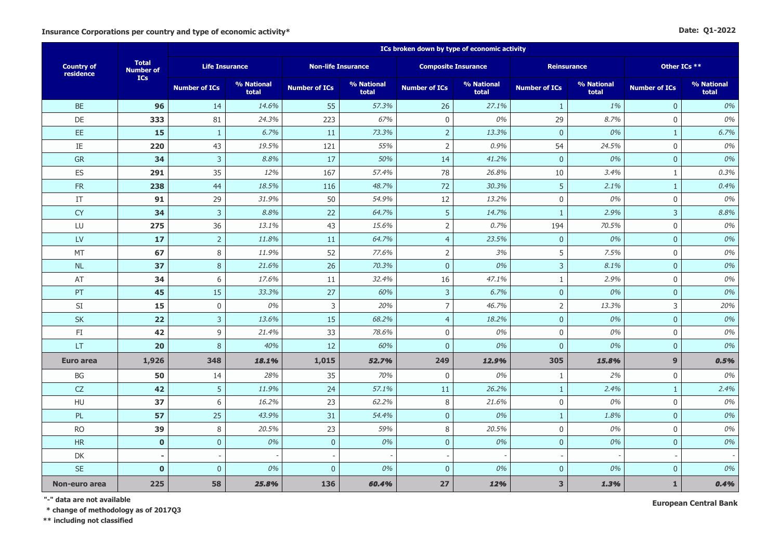#### **Date: Q1-2022**

|                                |                                  |                       |                     |                           |                     | ICs broken down by type of economic activity |                            |                         |                     |                      |                     |
|--------------------------------|----------------------------------|-----------------------|---------------------|---------------------------|---------------------|----------------------------------------------|----------------------------|-------------------------|---------------------|----------------------|---------------------|
| <b>Country of</b><br>residence | <b>Total</b><br><b>Number of</b> | <b>Life Insurance</b> |                     | <b>Non-life Insurance</b> |                     |                                              | <b>Composite Insurance</b> | <b>Reinsurance</b>      |                     | Other ICs **         |                     |
|                                | ICs                              | <b>Number of ICs</b>  | % National<br>total | <b>Number of ICs</b>      | % National<br>total | <b>Number of ICs</b>                         | % National<br>total        | <b>Number of ICs</b>    | % National<br>total | <b>Number of ICs</b> | % National<br>total |
| <b>BE</b>                      | 96                               | 14                    | 14.6%               | 55                        | 57.3%               | 26                                           | 27.1%                      | $\mathbf{1}$            | 1%                  | $\mathbf{0}$         | 0%                  |
| <b>DE</b>                      | 333                              | 81                    | 24.3%               | 223                       | 67%                 | $\mathbf 0$                                  | 0%                         | 29                      | 8.7%                | $\mathbf 0$          | 0%                  |
| $\mathsf{EE}$                  | 15                               | $\mathbf{1}$          | 6.7%                | $11\,$                    | 73.3%               | $\overline{2}$                               | 13.3%                      | $\mathbf{0}$            | 0%                  | $\mathbf{1}$         | 6.7%                |
| $\rm IE$                       | 220                              | 43                    | 19.5%               | 121                       | 55%                 | $\mathsf{2}\,$                               | 0.9%                       | 54                      | 24.5%               | $\mathbf 0$          | 0%                  |
| <b>GR</b>                      | 34                               | $\overline{3}$        | 8.8%                | 17                        | 50%                 | 14                                           | 41.2%                      | $\overline{0}$          | 0%                  | $\mathbf{0}$         | 0%                  |
| ES                             | 291                              | 35                    | 12%                 | 167                       | 57.4%               | 78                                           | 26.8%                      | 10                      | 3.4%                | $\mathbf{1}$         | 0.3%                |
| <b>FR</b>                      | 238                              | 44                    | 18.5%               | 116                       | 48.7%               | 72                                           | 30.3%                      | $\overline{5}$          | 2.1%                | $\mathbf{1}$         | 0.4%                |
| IT                             | 91                               | 29                    | 31.9%               | 50                        | 54.9%               | 12                                           | 13.2%                      | $\boldsymbol{0}$        | 0%                  | $\mathbf 0$          | 0%                  |
| <b>CY</b>                      | 34                               | $\mathsf 3$           | 8.8%                | 22                        | 64.7%               | 5                                            | 14.7%                      | $\mathbf{1}$            | 2.9%                | 3                    | 8.8%                |
| LU                             | 275                              | 36                    | 13.1%               | 43                        | 15.6%               | 2                                            | 0.7%                       | 194                     | 70.5%               | $\mathbf 0$          | 0%                  |
| LV                             | 17                               | $\sqrt{2}$            | 11.8%               | 11                        | 64.7%               | $\overline{4}$                               | 23.5%                      | $\mathbf 0$             | 0%                  | $\mathbf{0}$         | 0%                  |
| MT                             | 67                               | $\,8\,$               | 11.9%               | 52                        | 77.6%               | $\overline{2}$                               | 3%                         | 5                       | 7.5%                | $\mathbf 0$          | 0%                  |
| <b>NL</b>                      | 37                               | 8                     | 21.6%               | 26                        | 70.3%               | $\mathbf{0}$                                 | 0%                         | $\mathsf{3}$            | 8.1%                | $\mathbf{0}$         | 0%                  |
| AT                             | 34                               | 6                     | 17.6%               | 11                        | 32.4%               | 16                                           | 47.1%                      | $\mathbf{1}$            | 2.9%                | $\mathbf 0$          | 0%                  |
| PT                             | 45                               | 15                    | 33.3%               | 27                        | 60%                 | $\mathbf{3}$                                 | 6.7%                       | $\overline{0}$          | 0%                  | $\mathbf{0}$         | 0%                  |
| SI                             | 15                               | $\boldsymbol{0}$      | 0%                  | 3                         | 20%                 | $\overline{7}$                               | 46.7%                      | $\mathsf{2}$            | 13.3%               | $\overline{3}$       | 20%                 |
| SK                             | 22                               | $\overline{3}$        | 13.6%               | 15                        | 68.2%               | $\overline{4}$                               | 18.2%                      | $\mathbf{0}$            | 0%                  | $\mathbf{0}$         | 0%                  |
| FI                             | 42                               | 9                     | 21.4%               | 33                        | 78.6%               | 0                                            | 0%                         | $\mathbf 0$             | 0%                  | $\mathbf 0$          | 0%                  |
| LT                             | 20                               | $\, 8$                | 40%                 | 12                        | 60%                 | $\pmb{0}$                                    | 0%                         | $\boldsymbol{0}$        | 0%                  | $\mathbf 0$          | 0%                  |
| <b>Euro area</b>               | 1,926                            | 348                   | 18.1%               | 1,015                     | 52.7%               | 249                                          | 12.9%                      | 305                     | 15.8%               | 9                    | 0.5%                |
| BG                             | 50                               | 14                    | 28%                 | 35                        | 70%                 | $\mathbf 0$                                  | 0%                         | $\mathbf{1}$            | 2%                  | $\mathbf 0$          | 0%                  |
| CZ                             | 42                               | $\overline{5}$        | 11.9%               | 24                        | 57.1%               | 11                                           | 26.2%                      | $\mathbf{1}$            | 2.4%                | $\mathbf{1}$         | 2.4%                |
| HU                             | 37                               | 6                     | 16.2%               | 23                        | 62.2%               | 8                                            | 21.6%                      | $\mathbf 0$             | 0%                  | $\mathbf 0$          | 0%                  |
| PL                             | 57                               | 25                    | 43.9%               | 31                        | 54.4%               | $\mathbf{0}$                                 | 0%                         | $\mathbf{1}$            | 1.8%                | $\mathbf{0}$         | 0%                  |
| <b>RO</b>                      | 39                               | $\,8\,$               | 20.5%               | 23                        | 59%                 | 8                                            | 20.5%                      | $\mathbf 0$             | 0%                  | $\mathbf 0$          | 0%                  |
| HR                             | $\mathbf{0}$                     | $\mathbf{0}$          | 0%                  | $\pmb{0}$                 | 0%                  | $\overline{0}$                               | 0%                         | $\mathbf{0}$            | 0%                  | $\mathbf{0}$         | 0%                  |
| DK                             |                                  |                       |                     |                           |                     |                                              |                            |                         |                     |                      |                     |
| <b>SE</b>                      | $\mathbf{0}$                     | $\mathbf{0}$          | 0%                  | $\mathbf{0}$              | 0%                  | $\mathbf{0}$                                 | 0%                         | $\mathbf{0}$            | 0%                  | $\mathbf{0}$         | 0%                  |
| Non-euro area                  | 225                              | 58                    | 25.8%               | 136                       | 60.4%               | 27                                           | 12%                        | $\overline{\mathbf{3}}$ | 1.3%                | $\mathbf{1}$         | 0.4%                |

**"-" data are not available**

**\* change of methodology as of 2017Q3**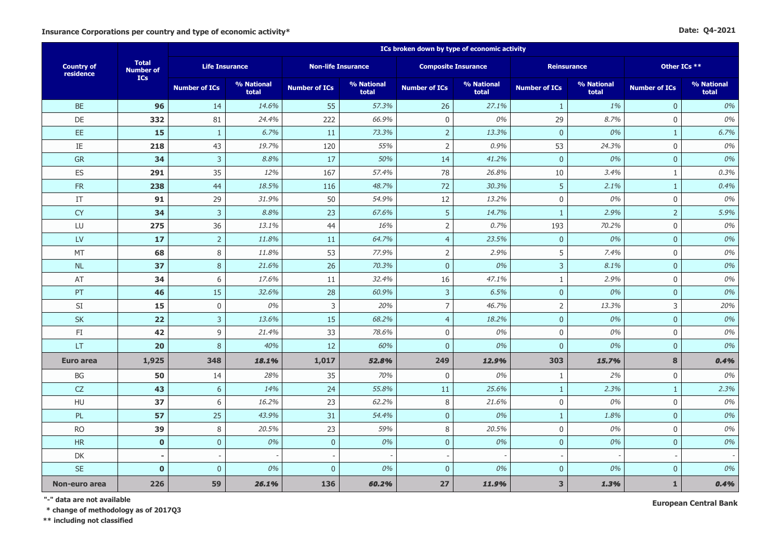|  | Date: Q4-2021 |
|--|---------------|
|--|---------------|

|                                |                                  |                       |                     |                           |                     | ICs broken down by type of economic activity |                     |                      |                     |                      |                     |  |
|--------------------------------|----------------------------------|-----------------------|---------------------|---------------------------|---------------------|----------------------------------------------|---------------------|----------------------|---------------------|----------------------|---------------------|--|
| <b>Country of</b><br>residence | <b>Total</b><br><b>Number of</b> | <b>Life Insurance</b> |                     | <b>Non-life Insurance</b> |                     | <b>Composite Insurance</b>                   |                     |                      | <b>Reinsurance</b>  | Other ICs **         |                     |  |
|                                | <b>ICs</b>                       | <b>Number of ICs</b>  | % National<br>total | <b>Number of ICs</b>      | % National<br>total | <b>Number of ICs</b>                         | % National<br>total | <b>Number of ICs</b> | % National<br>total | <b>Number of ICs</b> | % National<br>total |  |
| <b>BE</b>                      | 96                               | 14                    | 14.6%               | 55                        | 57.3%               | 26                                           | 27.1%               | $\mathbf{1}$         | 1%                  | $\mathbf{0}$         | 0%                  |  |
| DE                             | 332                              | 81                    | 24.4%               | 222                       | 66.9%               | $\boldsymbol{0}$                             | 0%                  | 29                   | 8.7%                | $\mathbf 0$          | 0%                  |  |
| EE.                            | 15                               | $\mathbf{1}$          | 6.7%                | 11                        | 73.3%               | $\mathbf 2$                                  | 13.3%               | $\bf 0$              | 0%                  | $\mathbf{1}$         | 6.7%                |  |
| IE                             | 218                              | 43                    | 19.7%               | 120                       | 55%                 | $\overline{2}$                               | 0.9%                | 53                   | 24.3%               | $\mathbf 0$          | 0%                  |  |
| GR                             | 34                               | $\mathbf{3}$          | 8.8%                | 17                        | 50%                 | 14                                           | 41.2%               | $\mathbf{0}$         | 0%                  | $\overline{0}$       | 0%                  |  |
| ES                             | 291                              | 35                    | 12%                 | 167                       | 57.4%               | 78                                           | 26.8%               | 10                   | 3.4%                | $\mathbf{1}$         | 0.3%                |  |
| ${\sf FR}$                     | 238                              | 44                    | 18.5%               | 116                       | 48.7%               | 72                                           | 30.3%               | 5                    | 2.1%                | $\mathbf{1}$         | 0.4%                |  |
| IT                             | 91                               | 29                    | 31.9%               | 50                        | 54.9%               | 12                                           | 13.2%               | $\mathbf 0$          | 0%                  | $\mathbf 0$          | 0%                  |  |
| <b>CY</b>                      | 34                               | $\overline{3}$        | 8.8%                | 23                        | 67.6%               | 5                                            | 14.7%               | -1                   | 2.9%                | $\overline{2}$       | 5.9%                |  |
| LU                             | 275                              | 36                    | 13.1%               | 44                        | 16%                 | $\mathsf 2$                                  | 0.7%                | 193                  | 70.2%               | $\mathbf 0$          | 0%                  |  |
| LV                             | 17                               | $\overline{2}$        | 11.8%               | 11                        | 64.7%               | $\overline{4}$                               | 23.5%               | $\overline{0}$       | 0%                  | $\mathbf{0}$         | 0%                  |  |
| MT                             | 68                               | 8                     | 11.8%               | 53                        | 77.9%               | $\overline{2}$                               | 2.9%                | 5                    | 7.4%                | $\mathbf 0$          | 0%                  |  |
| <b>NL</b>                      | 37                               | $\,8\,$               | 21.6%               | 26                        | 70.3%               | $\pmb{0}$                                    | 0%                  | $\overline{3}$       | 8.1%                | $\mathbf{0}$         | 0%                  |  |
| AT                             | 34                               | 6                     | 17.6%               | 11                        | 32.4%               | 16                                           | 47.1%               | $\mathbf{1}$         | 2.9%                | $\mathbf 0$          | 0%                  |  |
| PT                             | 46                               | 15                    | 32.6%               | 28                        | 60.9%               | 3                                            | 6.5%                | $\mathbf{0}$         | 0%                  | $\overline{0}$       | 0%                  |  |
| SI                             | 15                               | $\boldsymbol{0}$      | 0%                  | 3                         | 20%                 | $\overline{7}$                               | 46.7%               | $\overline{2}$       | 13.3%               | 3                    | 20%                 |  |
| SK                             | 22                               | $\mathsf{3}$          | 13.6%               | 15                        | 68.2%               | $\overline{4}$                               | 18.2%               | $\mathbf{0}$         | 0%                  | $\overline{0}$       | 0%                  |  |
| FI                             | 42                               | 9                     | 21.4%               | 33                        | 78.6%               | $\mathbf 0$                                  | 0%                  | $\mathbf 0$          | 0%                  | $\mathbf 0$          | 0%                  |  |
| <b>LT</b>                      | 20                               | $\,8\,$               | 40%                 | 12                        | 60%                 | $\mathbf{0}$                                 | 0%                  | $\mathbf{0}$         | 0%                  | $\mathbf{0}$         | 0%                  |  |
| Euro area                      | 1,925                            | 348                   | 18.1%               | 1,017                     | 52.8%               | 249                                          | 12.9%               | 303                  | 15.7%               | 8                    | 0.4%                |  |
| BG                             | 50                               | 14                    | 28%                 | 35                        | 70%                 | $\mathbf 0$                                  | 0%                  | $\mathbf{1}$         | 2%                  | $\mathbf 0$          | 0%                  |  |
| ${\sf CZ}$                     | 43                               | $\boldsymbol{6}$      | 14%                 | 24                        | 55.8%               | 11                                           | 25.6%               | $\mathbf{1}$         | 2.3%                | $\mathbf{1}$         | 2.3%                |  |
| HU                             | 37                               | 6                     | 16.2%               | 23                        | 62.2%               | 8                                            | 21.6%               | $\mathbf 0$          | 0%                  | $\mathbf 0$          | 0%                  |  |
| PL                             | 57                               | 25                    | 43.9%               | 31                        | 54.4%               | $\overline{0}$                               | 0%                  | $\mathbf{1}$         | 1.8%                | $\mathbf{0}$         | 0%                  |  |
| <b>RO</b>                      | 39                               | 8                     | 20.5%               | 23                        | 59%                 | 8                                            | 20.5%               | $\boldsymbol{0}$     | 0%                  | $\mathbf 0$          | 0%                  |  |
| HR                             | $\mathbf 0$                      | $\mathbf 0$           | 0%                  | $\mathbf 0$               | 0%                  | $\mathbf 0$                                  | 0%                  | $\overline{0}$       | 0%                  | $\mathbf{0}$         | 0%                  |  |
| DK                             |                                  |                       |                     |                           |                     |                                              |                     |                      |                     |                      |                     |  |
| <b>SE</b>                      | $\mathbf 0$                      | $\mathbf{0}$          | 0%                  | $\mathbf{0}$              | 0%                  | $\mathbf{0}$                                 | 0%                  | $\mathbf{0}$         | 0%                  | $\mathbf{0}$         | 0%                  |  |
| Non-euro area                  | 226                              | 59                    | 26.1%               | 136                       | 60.2%               | 27                                           | 11.9%               | $\mathbf{3}$         | 1.3%                | $\mathbf{1}$         | 0.4%                |  |

**"-" data are not available**

**\* change of methodology as of 2017Q3**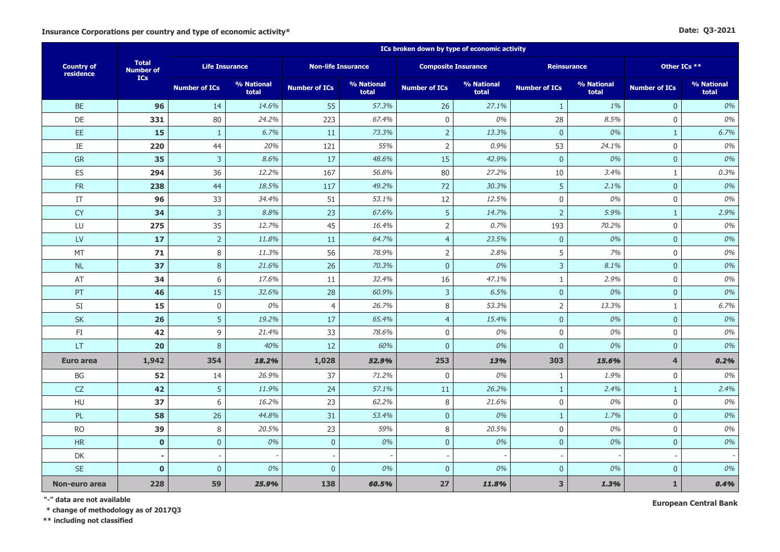#### **Date: Q3-2021**

|                                |                                  |                      |                       | ICs broken down by type of economic activity |                     |                      |                            |                         |                     |                      |                     |  |  |
|--------------------------------|----------------------------------|----------------------|-----------------------|----------------------------------------------|---------------------|----------------------|----------------------------|-------------------------|---------------------|----------------------|---------------------|--|--|
| <b>Country of</b><br>residence | <b>Total</b><br><b>Number of</b> |                      | <b>Life Insurance</b> | <b>Non-life Insurance</b>                    |                     |                      | <b>Composite Insurance</b> |                         | <b>Reinsurance</b>  |                      | Other ICs **        |  |  |
|                                | <b>ICs</b>                       | <b>Number of ICs</b> | % National<br>total   | <b>Number of ICs</b>                         | % National<br>total | <b>Number of ICs</b> | % National<br>total        | <b>Number of ICs</b>    | % National<br>total | <b>Number of ICs</b> | % National<br>total |  |  |
| <b>BE</b>                      | 96                               | 14                   | 14.6%                 | 55                                           | 57.3%               | 26                   | 27.1%                      | $\mathbf{1}$            | 1%                  | $\mathbf{0}$         | 0%                  |  |  |
| DE                             | 331                              | 80                   | 24.2%                 | 223                                          | 67.4%               | $\mathbf 0$          | 0%                         | 28                      | 8.5%                | $\mathbf 0$          | 0%                  |  |  |
| EE.                            | 15                               | $\mathbf{1}$         | 6.7%                  | 11                                           | 73.3%               | $\overline{2}$       | 13.3%                      | $\overline{0}$          | 0%                  | $\mathbf{1}$         | 6.7%                |  |  |
| $\rm IE$                       | 220                              | 44                   | 20%                   | 121                                          | 55%                 | $\mathbf 2$          | 0.9%                       | 53                      | 24.1%               | $\mathbf{0}$         | 0%                  |  |  |
| GR                             | 35                               | $\overline{3}$       | 8.6%                  | 17                                           | 48.6%               | 15                   | 42.9%                      | $\overline{0}$          | 0%                  | $\mathbf{0}$         | 0%                  |  |  |
| ES                             | 294                              | 36                   | 12.2%                 | 167                                          | 56.8%               | 80                   | 27.2%                      | 10                      | 3.4%                | $1\,$                | 0.3%                |  |  |
| <b>FR</b>                      | 238                              | 44                   | 18.5%                 | 117                                          | 49.2%               | 72                   | 30.3%                      | 5                       | 2.1%                | $\mathbf{0}$         | 0%                  |  |  |
| IT                             | 96                               | 33                   | 34.4%                 | 51                                           | 53.1%               | 12                   | 12.5%                      | $\mathbf 0$             | 0%                  | $\mathbf 0$          | 0%                  |  |  |
| <b>CY</b>                      | 34                               | $\overline{3}$       | 8.8%                  | 23                                           | 67.6%               | 5                    | 14.7%                      | $\overline{2}$          | 5.9%                | $\mathbf{1}$         | 2.9%                |  |  |
| LU                             | 275                              | 35                   | 12.7%                 | 45                                           | 16.4%               | $\overline{2}$       | 0.7%                       | 193                     | 70.2%               | $\mathbf 0$          | 0%                  |  |  |
| LV                             | 17                               | $\overline{2}$       | 11.8%                 | 11                                           | 64.7%               | $\overline{4}$       | 23.5%                      | $\mathbf{0}$            | 0%                  | $\mathbf{0}$         | 0%                  |  |  |
| MT                             | 71                               | 8                    | 11.3%                 | 56                                           | 78.9%               | $\mathsf 2$          | 2.8%                       | 5                       | 7%                  | $\mathbf 0$          | 0%                  |  |  |
| NL                             | 37                               | 8                    | 21.6%                 | 26                                           | 70.3%               | $\overline{0}$       | 0%                         | $\mathbf{3}$            | 8.1%                | $\mathbf{0}$         | 0%                  |  |  |
| AT                             | 34                               | 6                    | 17.6%                 | 11                                           | 32.4%               | 16                   | 47.1%                      | $\mathbf{1}$            | 2.9%                | $\mathbf 0$          | 0%                  |  |  |
| PT                             | 46                               | 15                   | 32.6%                 | 28                                           | 60.9%               | 3                    | 6.5%                       | $\mathbf{0}$            | 0%                  | $\mathbf{0}$         | 0%                  |  |  |
| SI                             | 15                               | $\mathbf 0$          | 0%                    | $\overline{4}$                               | 26.7%               | 8                    | 53.3%                      | $\sqrt{2}$              | 13.3%               | $\mathbf{1}$         | 6.7%                |  |  |
| SK                             | 26                               | 5                    | 19.2%                 | 17                                           | 65.4%               | $\overline{4}$       | 15.4%                      | $\mathbf{0}$            | 0%                  | $\mathbf 0$          | 0%                  |  |  |
| FI                             | 42                               | 9                    | 21.4%                 | 33                                           | 78.6%               | $\mathbf 0$          | 0%                         | $\mathbf 0$             | 0%                  | $\mathbf 0$          | 0%                  |  |  |
| LT                             | 20                               | 8                    | 40%                   | 12                                           | 60%                 | $\pmb{0}$            | 0%                         | $\bf 0$                 | 0%                  | $\pmb{0}$            | 0%                  |  |  |
| <b>Euro area</b>               | 1,942                            | 354                  | 18.2%                 | 1,028                                        | 52.9%               | 253                  | 13%                        | 303                     | 15.6%               | 4                    | 0.2%                |  |  |
| BG                             | 52                               | 14                   | 26.9%                 | 37                                           | 71.2%               | $\mathbf 0$          | 0%                         | $1\,$                   | 1.9%                | $\mathbf 0$          | 0%                  |  |  |
| CZ                             | 42                               | 5                    | 11.9%                 | 24                                           | 57.1%               | 11                   | 26.2%                      | $\mathbf{1}$            | 2.4%                | $\mathbf{1}$         | 2.4%                |  |  |
| HU                             | 37                               | 6                    | 16.2%                 | 23                                           | 62.2%               | $\,8\,$              | 21.6%                      | $\mathbf 0$             | 0%                  | $\mathbf 0$          | 0%                  |  |  |
| PL                             | 58                               | 26                   | 44.8%                 | 31                                           | 53.4%               | $\pmb{0}$            | 0%                         | $\mathbf{1}$            | 1.7%                | $\pmb{0}$            | 0%                  |  |  |
| <b>RO</b>                      | 39                               | 8                    | 20.5%                 | 23                                           | 59%                 | 8                    | 20.5%                      | $\mathbf 0$             | 0%                  | $\mathbf 0$          | 0%                  |  |  |
| HR                             | $\mathbf 0$                      | $\pmb{0}$            | 0%                    | $\pmb{0}$                                    | 0%                  | $\mathbf 0$          | 0%                         | $\pmb{0}$               | 0%                  | $\mathbf{0}$         | 0%                  |  |  |
| DK                             |                                  |                      |                       |                                              |                     |                      |                            |                         |                     |                      |                     |  |  |
| <b>SE</b>                      | $\mathbf{0}$                     | $\mathbf{0}$         | 0%                    | $\mathbf{0}$                                 | 0%                  | $\mathbf{0}$         | 0%                         | $\overline{0}$          | 0%                  | $\mathbf{0}$         | 0%                  |  |  |
| Non-euro area                  | 228                              | 59                   | 25,9%                 | 138                                          | 60,5%               | 27                   | 11.8%                      | $\overline{\mathbf{3}}$ | 1.3%                | $\mathbf{1}$         | 0.4%                |  |  |

**"-" data are not available**

 **\* change of methodology as of 2017Q3**

**\*\* including not classified**

**European Central Bank**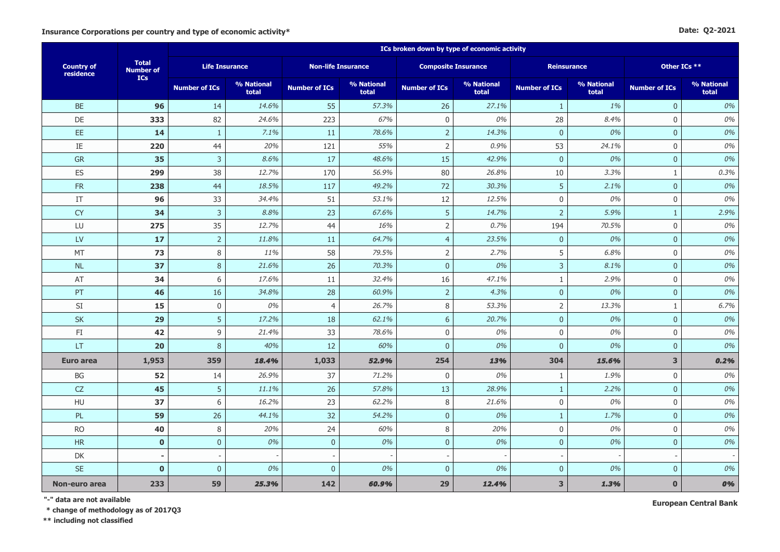#### **Date: Q2-2021**

|                                |                                  |                       | ICs broken down by type of economic activity |                           |                     |                            |                     |                      |                     |                      |                     |
|--------------------------------|----------------------------------|-----------------------|----------------------------------------------|---------------------------|---------------------|----------------------------|---------------------|----------------------|---------------------|----------------------|---------------------|
| <b>Country of</b><br>residence | <b>Total</b><br><b>Number of</b> | <b>Life Insurance</b> |                                              | <b>Non-life Insurance</b> |                     | <b>Composite Insurance</b> |                     |                      | Reinsurance         |                      | Other ICs **        |
|                                | ICs                              | <b>Number of ICs</b>  | % National<br>total                          | <b>Number of ICs</b>      | % National<br>total | <b>Number of ICs</b>       | % National<br>total | <b>Number of ICs</b> | % National<br>total | <b>Number of ICs</b> | % National<br>total |
| <b>BE</b>                      | 96                               | 14                    | 14.6%                                        | 55                        | 57.3%               | 26                         | 27.1%               | $\mathbf{1}$         | 1%                  | $\overline{0}$       | 0%                  |
| DE                             | 333                              | 82                    | 24.6%                                        | 223                       | 67%                 | $\mathbf 0$                | 0%                  | 28                   | 8.4%                | $\mathbf 0$          | 0%                  |
| EE.                            | 14                               | $\mathbf{1}$          | 7.1%                                         | 11                        | 78.6%               | $\overline{2}$             | 14.3%               | $\overline{0}$       | 0%                  | $\mathbf{0}$         | 0%                  |
| IE                             | 220                              | 44                    | 20%                                          | 121                       | 55%                 | $\overline{2}$             | 0.9%                | 53                   | 24.1%               | $\mathbf 0$          | 0%                  |
| ${\sf GR}$                     | 35                               | $\overline{3}$        | 8.6%                                         | 17                        | 48.6%               | 15                         | 42.9%               | $\mathbf{0}$         | 0%                  | $\pmb{0}$            | 0%                  |
| <b>ES</b>                      | 299                              | 38                    | 12.7%                                        | 170                       | 56.9%               | 80                         | 26.8%               | 10                   | 3.3%                | $\mathbf{1}$         | 0.3%                |
| ${\sf FR}$                     | 238                              | 44                    | 18.5%                                        | 117                       | 49.2%               | 72                         | 30.3%               | 5                    | 2.1%                | $\overline{0}$       | 0%                  |
| $\ensuremath{\mathsf{IT}}$     | 96                               | 33                    | 34.4%                                        | 51                        | 53.1%               | 12                         | 12.5%               | $\boldsymbol{0}$     | 0%                  | $\mathsf{0}$         | 0%                  |
| <b>CY</b>                      | 34                               | $\mathsf{3}$          | 8.8%                                         | 23                        | 67.6%               | 5                          | 14.7%               | $\overline{2}$       | 5.9%                | $\mathbf{1}$         | 2.9%                |
| LU                             | 275                              | 35                    | 12.7%                                        | 44                        | 16%                 | $\overline{2}$             | 0.7%                | 194                  | 70.5%               | $\mathbf 0$          | 0%                  |
| <b>LV</b>                      | 17                               | $\overline{2}$        | 11.8%                                        | 11                        | 64.7%               | $\overline{4}$             | 23.5%               | $\overline{0}$       | 0%                  | $\overline{0}$       | 0%                  |
| MT                             | 73                               | 8                     | 11%                                          | 58                        | 79.5%               | $\mathsf{2}\,$             | 2.7%                | 5                    | 6.8%                | $\mathbf 0$          | 0%                  |
| <b>NL</b>                      | 37                               | $\, 8$                | 21.6%                                        | 26                        | 70.3%               | $\overline{0}$             | 0%                  | $\mathbf{3}$         | 8.1%                | $\overline{0}$       | 0%                  |
| AT                             | 34                               | 6                     | 17.6%                                        | 11                        | 32.4%               | 16                         | 47.1%               | 1                    | 2.9%                | $\mathbf 0$          | 0%                  |
| PT                             | 46                               | 16                    | 34.8%                                        | 28                        | 60.9%               | $\mathsf{2}$               | 4.3%                | $\mathbf{0}$         | 0%                  | $\mathbf 0$          | 0%                  |
| SI                             | 15                               | $\mathbf 0$           | 0%                                           | $\overline{4}$            | 26.7%               | 8                          | 53.3%               | $\overline{2}$       | 13.3%               | $\mathbf{1}$         | 6.7%                |
| <b>SK</b>                      | 29                               | 5                     | 17.2%                                        | 18                        | 62.1%               | 6                          | 20.7%               | $\mathbf{0}$         | 0%                  | $\mathbf{0}$         | 0%                  |
| FI                             | 42                               | 9                     | 21.4%                                        | 33                        | 78.6%               | $\mathbf 0$                | 0%                  | $\mathbf{0}$         | 0%                  | $\mathbf 0$          | 0%                  |
| LT                             | 20                               | 8                     | 40%                                          | 12                        | 60%                 | $\overline{0}$             | 0%                  | $\mathbf{0}$         | 0%                  | $\overline{0}$       | 0%                  |
| <b>Euro area</b>               | 1,953                            | 359                   | 18.4%                                        | 1,033                     | 52.9%               | 254                        | 13%                 | 304                  | 15.6%               | 3                    | 0.2%                |
| BG                             | 52                               | 14                    | 26.9%                                        | 37                        | 71.2%               | $\mathbf 0$                | 0%                  | 1                    | 1.9%                | $\mathbf 0$          | 0%                  |
| ${\sf CZ}$                     | 45                               | 5                     | 11.1%                                        | 26                        | 57.8%               | 13                         | 28.9%               | $\mathbf{1}$         | 2.2%                | $\pmb{0}$            | 0%                  |
| HU                             | 37                               | 6                     | 16.2%                                        | 23                        | 62.2%               | $\,8\,$                    | 21.6%               | $\mathbf 0$          | 0%                  | $\mathbf 0$          | 0%                  |
| PL                             | 59                               | 26                    | 44.1%                                        | 32                        | 54.2%               | $\pmb{0}$                  | 0%                  | 1                    | 1.7%                | $\mathbf{0}$         | 0%                  |
| <b>RO</b>                      | 40                               | 8                     | 20%                                          | 24                        | 60%                 | 8                          | 20%                 | $\mathbf 0$          | 0%                  | $\mathbf 0$          | 0%                  |
| HR                             | $\mathbf 0$                      | $\mathbf 0$           | 0%                                           | $\pmb{0}$                 | 0%                  | $\mathbf 0$                | 0%                  | $\overline{0}$       | 0%                  | $\mathbf{0}$         | 0%                  |
| DK                             |                                  |                       |                                              |                           |                     |                            |                     |                      |                     |                      |                     |
| <b>SE</b>                      | $\mathbf 0$                      | $\mathbf{0}$          | 0%                                           | $\mathbf{0}$              | 0%                  | $\mathbf{0}$               | 0%                  | $\mathbf{0}$         | 0%                  | $\mathbf{0}$         | 0%                  |
| Non-euro area                  | 233                              | 59                    | 25.3%                                        | 142                       | 60,9%               | 29                         | 12.4%               | $\mathbf{3}$         | 1.3%                | $\mathbf{0}$         | 0%                  |

**"-" data are not available**

**\* change of methodology as of 2017Q3**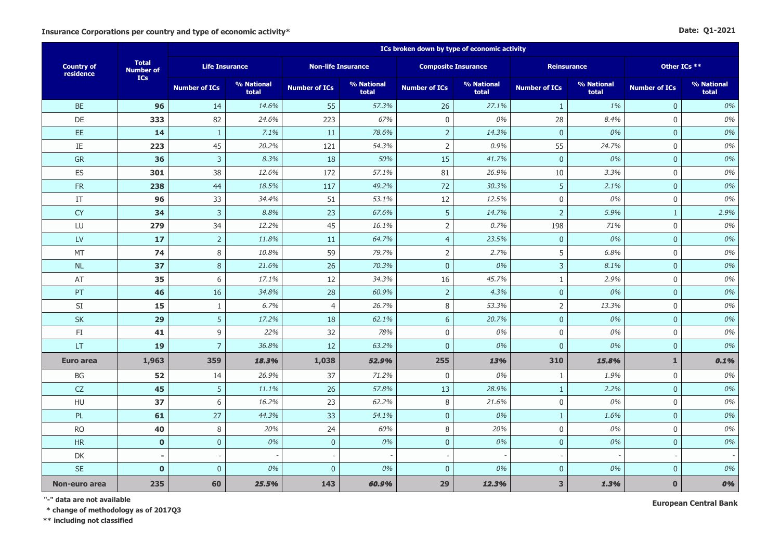|  | Date: 01-2021 |
|--|---------------|
|--|---------------|

|                                |                                  |                       | ICs broken down by type of economic activity |                           |                     |                            |                     |                      |                     |                      |                     |
|--------------------------------|----------------------------------|-----------------------|----------------------------------------------|---------------------------|---------------------|----------------------------|---------------------|----------------------|---------------------|----------------------|---------------------|
| <b>Country of</b><br>residence | <b>Total</b><br><b>Number of</b> | <b>Life Insurance</b> |                                              | <b>Non-life Insurance</b> |                     | <b>Composite Insurance</b> |                     | Reinsurance          |                     | Other ICs **         |                     |
|                                | <b>ICs</b>                       | <b>Number of ICs</b>  | % National<br>total                          | <b>Number of ICs</b>      | % National<br>total | <b>Number of ICs</b>       | % National<br>total | <b>Number of ICs</b> | % National<br>total | <b>Number of ICs</b> | % National<br>total |
| <b>BE</b>                      | 96                               | 14                    | 14.6%                                        | 55                        | 57.3%               | 26                         | 27.1%               | $\mathbf{1}$         | 1%                  | $\overline{0}$       | 0%                  |
| DE                             | 333                              | 82                    | 24.6%                                        | 223                       | 67%                 | $\mathsf{O}\xspace$        | 0%                  | 28                   | 8.4%                | $\mathbf 0$          | 0%                  |
| EE.                            | 14                               | $\mathbf{1}$          | 7.1%                                         | 11                        | 78.6%               | $\sqrt{2}$                 | 14.3%               | $\bf 0$              | 0%                  | $\mathbf 0$          | 0%                  |
| IE                             | 223                              | 45                    | 20.2%                                        | 121                       | 54.3%               | $\overline{2}$             | 0.9%                | 55                   | 24.7%               | $\mathbf 0$          | 0%                  |
| <b>GR</b>                      | 36                               | $\mathsf{3}$          | 8.3%                                         | 18                        | 50%                 | 15                         | 41.7%               | $\overline{0}$       | 0%                  | $\overline{0}$       | 0%                  |
| ES                             | 301                              | 38                    | 12.6%                                        | 172                       | 57.1%               | 81                         | 26.9%               | 10                   | 3.3%                | $\mathbf 0$          | 0%                  |
| FR                             | 238                              | 44                    | 18.5%                                        | 117                       | 49.2%               | 72                         | 30.3%               | 5                    | 2.1%                | $\mathbf 0$          | 0%                  |
| IT                             | 96                               | 33                    | 34.4%                                        | 51                        | 53.1%               | 12                         | 12.5%               | $\mathbf 0$          | 0%                  | $\mathbf 0$          | 0%                  |
| <b>CY</b>                      | 34                               | $\mathsf{3}$          | 8.8%                                         | 23                        | 67.6%               | 5                          | 14.7%               | $\overline{2}$       | 5.9%                | $\mathbf{1}$         | 2.9%                |
| LU                             | 279                              | 34                    | 12.2%                                        | 45                        | 16.1%               | $\mathsf{2}\,$             | 0.7%                | 198                  | 71%                 | $\mathbf 0$          | 0%                  |
| LV                             | 17                               | $\overline{2}$        | 11.8%                                        | 11                        | 64.7%               | $\overline{4}$             | 23.5%               | $\overline{0}$       | 0%                  | $\overline{0}$       | 0%                  |
| MT                             | 74                               | $\,8\,$               | 10.8%                                        | 59                        | 79.7%               | $\overline{2}$             | 2.7%                | 5                    | 6.8%                | $\mathbf 0$          | 0%                  |
| NL                             | 37                               | $\,8\,$               | 21.6%                                        | 26                        | 70.3%               | $\pmb{0}$                  | 0%                  | $\overline{3}$       | 8.1%                | $\mathbf{0}$         | 0%                  |
| AT                             | 35                               | 6                     | 17.1%                                        | 12                        | 34.3%               | 16                         | 45.7%               | $\mathbf{1}$         | 2.9%                | $\mathbf 0$          | 0%                  |
| PT                             | 46                               | 16                    | 34.8%                                        | 28                        | 60.9%               | $\overline{2}$             | 4.3%                | $\mathbf{0}$         | 0%                  | $\overline{0}$       | 0%                  |
| $\mathsf{SI}$                  | 15                               | 1                     | 6.7%                                         | $\overline{4}$            | 26.7%               | 8                          | 53.3%               | $\overline{2}$       | 13.3%               | $\mathbf 0$          | 0%                  |
| SK                             | 29                               | 5                     | 17.2%                                        | 18                        | 62.1%               | $6\,$                      | 20.7%               | $\boldsymbol{0}$     | 0%                  | $\mathbf{0}$         | 0%                  |
| FI                             | 41                               | $\mathsf 9$           | 22%                                          | 32                        | 78%                 | $\mathbf 0$                | 0%                  | $\mathbf 0$          | 0%                  | $\mathbf 0$          | 0%                  |
| <b>LT</b>                      | <b>19</b>                        | $\overline{7}$        | 36.8%                                        | 12                        | 63.2%               | $\mathbf{0}$               | 0%                  | $\overline{0}$       | 0%                  | $\mathbf{0}$         | 0%                  |
| <b>Euro area</b>               | 1,963                            | 359                   | 18.3%                                        | 1,038                     | 52.9%               | 255                        | 13%                 | 310                  | 15.8%               | $\mathbf{1}$         | 0.1%                |
| BG                             | 52                               | 14                    | 26.9%                                        | 37                        | 71.2%               | $\mathbf 0$                | 0%                  | $\mathbf{1}$         | 1.9%                | $\mathbf 0$          | 0%                  |
| CZ                             | 45                               | 5                     | 11.1%                                        | 26                        | 57.8%               | 13                         | 28.9%               | $\mathbf{1}$         | 2.2%                | $\pmb{0}$            | 0%                  |
| <b>HU</b>                      | 37                               | 6                     | 16.2%                                        | 23                        | 62.2%               | 8                          | 21.6%               | $\overline{0}$       | 0%                  | $\mathbf 0$          | 0%                  |
| PL                             | 61                               | 27                    | 44.3%                                        | 33                        | 54.1%               | $\overline{0}$             | 0%                  | $\mathbf{1}$         | 1.6%                | $\overline{0}$       | 0%                  |
| <b>RO</b>                      | 40                               | $\,8\,$               | 20%                                          | 24                        | 60%                 | 8                          | 20%                 | $\boldsymbol{0}$     | 0%                  | $\mathbf 0$          | 0%                  |
| HR                             | $\mathbf{0}$                     | $\mathbf 0$           | 0%                                           | $\mathbf 0$               | 0%                  | $\mathbf 0$                | 0%                  | $\mathbf{0}$         | 0%                  | $\mathbf{0}$         | 0%                  |
| DK                             |                                  |                       |                                              |                           |                     |                            |                     |                      |                     |                      |                     |
| <b>SE</b>                      | $\mathbf{0}$                     | $\mathbf{0}$          | 0%                                           | $\mathbf{0}$              | 0%                  | $\mathbf{0}$               | 0%                  | $\overline{0}$       | 0%                  | $\mathbf{0}$         | 0%                  |
| Non-euro area                  | 235                              | 60                    | 25,5%                                        | 143                       | 60,9%               | 29                         | 12.3%               | $\mathbf{3}$         | 1.3%                | $\mathbf{0}$         | 0%                  |

**"-" data are not available**

**\* change of methodology as of 2017Q3**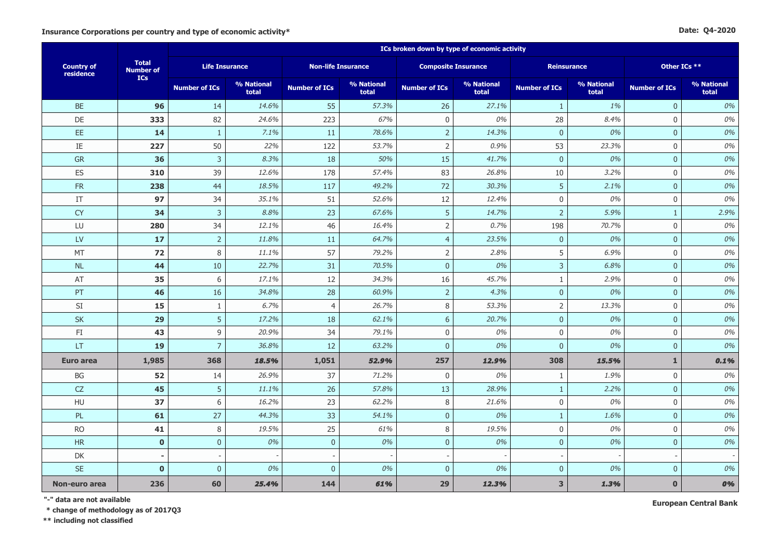|  | Date: Q4-2020 |
|--|---------------|
|--|---------------|

|                                |                                  |                       |                     |                           |                     | ICs broken down by type of economic activity |                     |                         |                     |                      |                     |
|--------------------------------|----------------------------------|-----------------------|---------------------|---------------------------|---------------------|----------------------------------------------|---------------------|-------------------------|---------------------|----------------------|---------------------|
| <b>Country of</b><br>residence | <b>Total</b><br><b>Number of</b> | <b>Life Insurance</b> |                     | <b>Non-life Insurance</b> |                     | <b>Composite Insurance</b>                   |                     |                         | <b>Reinsurance</b>  |                      | Other ICs **        |
|                                | <b>ICs</b>                       | <b>Number of ICs</b>  | % National<br>total | <b>Number of ICs</b>      | % National<br>total | <b>Number of ICs</b>                         | % National<br>total | <b>Number of ICs</b>    | % National<br>total | <b>Number of ICs</b> | % National<br>total |
| <b>BE</b>                      | 96                               | 14                    | 14.6%               | 55                        | 57.3%               | 26                                           | 27.1%               | $\mathbf{1}$            | 1%                  | $\mathbf{0}$         | 0%                  |
| DE                             | 333                              | 82                    | 24.6%               | 223                       | 67%                 | $\mathbf 0$                                  | 0%                  | 28                      | 8.4%                | $\mathbf 0$          | 0%                  |
| EE.                            | 14                               | $\mathbf{1}$          | 7.1%                | 11                        | 78.6%               | $\mathbf 2$                                  | 14.3%               | $\overline{0}$          | 0%                  | $\mathbf{0}$         | 0%                  |
| IE                             | 227                              | 50                    | 22%                 | 122                       | 53.7%               | $\overline{2}$                               | 0.9%                | 53                      | 23.3%               | $\mathbf{0}$         | 0%                  |
| GR                             | 36                               | $\overline{3}$        | 8.3%                | 18                        | 50%                 | 15                                           | 41.7%               | $\mathbf{0}$            | 0%                  | $\mathbf{0}$         | 0%                  |
| <b>ES</b>                      | 310                              | 39                    | 12.6%               | 178                       | 57.4%               | 83                                           | 26.8%               | 10                      | 3.2%                | $\mathbf 0$          | 0%                  |
| ${\sf FR}$                     | 238                              | 44                    | 18.5%               | 117                       | 49.2%               | 72                                           | 30.3%               | 5                       | 2.1%                | $\pmb{0}$            | 0%                  |
| $\ensuremath{\mathsf{IT}}$     | 97                               | 34                    | 35.1%               | 51                        | 52.6%               | 12                                           | 12.4%               | $\mathbf 0$             | 0%                  | $\mathbf 0$          | 0%                  |
| <b>CY</b>                      | 34                               | $\mathsf{3}$          | 8.8%                | 23                        | 67.6%               | 5                                            | 14.7%               | $\overline{2}$          | 5.9%                | $\mathbf{1}$         | 2.9%                |
| LU                             | 280                              | 34                    | 12.1%               | 46                        | 16.4%               | $\overline{2}$                               | 0.7%                | 198                     | 70.7%               | $\mathbf 0$          | 0%                  |
| $\mathsf{L}\mathsf{V}$         | 17                               | $\overline{2}$        | 11.8%               | 11                        | 64.7%               | $\overline{4}$                               | 23.5%               | $\overline{0}$          | 0%                  | $\overline{0}$       | 0%                  |
| MT                             | 72                               | 8                     | 11.1%               | 57                        | 79.2%               | $\overline{2}$                               | 2.8%                | 5                       | 6.9%                | $\mathbf 0$          | 0%                  |
| NL                             | 44                               | 10                    | 22.7%               | 31                        | 70.5%               | $\mathbf{0}$                                 | 0%                  | 3                       | 6.8%                | $\mathbf{0}$         | 0%                  |
| AT                             | 35                               | 6                     | 17.1%               | 12                        | 34.3%               | 16                                           | 45.7%               | $\mathbf{1}$            | 2.9%                | $\mathbf 0$          | 0%                  |
| PT                             | 46                               | 16                    | 34.8%               | 28                        | 60.9%               | $\overline{2}$                               | 4.3%                | $\overline{0}$          | 0%                  | $\overline{0}$       | 0%                  |
| SI                             | 15                               | $\mathbf{1}$          | 6.7%                | $\overline{4}$            | 26.7%               | 8                                            | 53.3%               | $\overline{2}$          | 13.3%               | $\mathbf 0$          | 0%                  |
| <b>SK</b>                      | 29                               | 5                     | 17.2%               | 18                        | 62.1%               | 6                                            | 20.7%               | $\overline{0}$          | 0%                  | $\mathbf{0}$         | 0%                  |
| $\mathsf{F}\mathbf{I}$         | 43                               | 9                     | 20.9%               | 34                        | 79.1%               | $\mathbf 0$                                  | 0%                  | $\mathbf 0$             | 0%                  | $\mathbf 0$          | 0%                  |
| <b>LT</b>                      | 19                               | $\overline{7}$        | 36.8%               | 12                        | 63.2%               | $\overline{0}$                               | 0%                  | $\overline{0}$          | 0%                  | $\overline{0}$       | 0%                  |
| <b>Euro area</b>               | 1,985                            | 368                   | 18.5%               | 1,051                     | 52.9%               | 257                                          | 12.9%               | 308                     | 15.5%               | $\mathbf{1}$         | 0.1%                |
| BG                             | 52                               | 14                    | 26.9%               | 37                        | 71.2%               | $\overline{0}$                               | 0%                  | $\mathbf{1}$            | 1.9%                | $\mathbf 0$          | 0%                  |
| CZ                             | 45                               | 5                     | 11.1%               | 26                        | 57.8%               | 13                                           | 28.9%               | $\mathbf{1}$            | 2.2%                | $\overline{0}$       | 0%                  |
| HU                             | 37                               | 6                     | 16.2%               | 23                        | 62.2%               | 8                                            | 21.6%               | $\mathbf 0$             | 0%                  | $\mathbf 0$          | 0%                  |
| PL                             | 61                               | 27                    | 44.3%               | 33                        | 54.1%               | $\pmb{0}$                                    | 0%                  | $\mathbf{1}$            | 1.6%                | $\overline{0}$       | 0%                  |
| <b>RO</b>                      | 41                               | 8                     | 19.5%               | 25                        | 61%                 | 8                                            | 19.5%               | $\mathbf{0}$            | 0%                  | $\mathbf{0}$         | 0%                  |
| <b>HR</b>                      | $\mathbf{0}$                     | $\mathbf{0}$          | 0%                  | $\overline{0}$            | 0%                  | $\overline{0}$                               | 0%                  | $\overline{0}$          | 0%                  | $\mathbf{0}$         | 0%                  |
| DK                             |                                  |                       |                     |                           |                     |                                              |                     |                         |                     |                      |                     |
| <b>SE</b>                      | $\pmb{0}$                        | $\mathbf 0$           | 0%                  | $\mathbf 0$               | 0%                  | $\pmb{0}$                                    | 0%                  | $\mathbf{0}$            | 0%                  | $\mathbf{0}$         | 0%                  |
| Non-euro area                  | 236                              | 60                    | 25.4%               | 144                       | 61%                 | 29                                           | 12.3%               | $\overline{\mathbf{3}}$ | 1.3%                | $\mathbf{0}$         | 0%                  |

**"-" data are not available**

**\* change of methodology as of 2017Q3**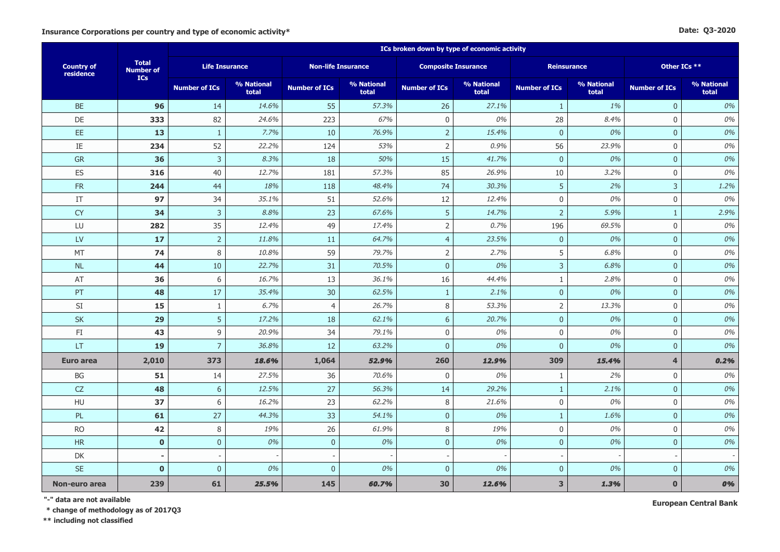#### **Date: Q3-2020**

|                                |                                  |                      | ICs broken down by type of economic activity |                           |                     |                            |                     |                         |                     |                      |                     |
|--------------------------------|----------------------------------|----------------------|----------------------------------------------|---------------------------|---------------------|----------------------------|---------------------|-------------------------|---------------------|----------------------|---------------------|
| <b>Country of</b><br>residence | <b>Total</b><br><b>Number of</b> |                      | <b>Life Insurance</b>                        | <b>Non-life Insurance</b> |                     | <b>Composite Insurance</b> |                     |                         | <b>Reinsurance</b>  | Other ICs **         |                     |
|                                | <b>ICs</b>                       | <b>Number of ICs</b> | % National<br>total                          | <b>Number of ICs</b>      | % National<br>total | <b>Number of ICs</b>       | % National<br>total | <b>Number of ICs</b>    | % National<br>total | <b>Number of ICs</b> | % National<br>total |
| <b>BE</b>                      | 96                               | 14                   | 14.6%                                        | 55                        | 57.3%               | 26                         | 27.1%               | $\mathbf{1}$            | 1%                  | $\mathbf{0}$         | 0%                  |
| DE                             | 333                              | 82                   | 24.6%                                        | 223                       | 67%                 | $\mathbf 0$                | 0%                  | 28                      | 8.4%                | $\mathbf{0}$         | 0%                  |
| EE.                            | 13                               | $\mathbf{1}$         | 7.7%                                         | 10                        | 76.9%               | $\mathbf 2$                | 15.4%               | $\overline{0}$          | 0%                  | $\overline{0}$       | 0%                  |
| $\rm IE$                       | 234                              | 52                   | 22.2%                                        | 124                       | 53%                 | $\mathbf 2$                | 0.9%                | 56                      | 23.9%               | $\mathbf 0$          | 0%                  |
| <b>GR</b>                      | 36                               | $\overline{3}$       | 8.3%                                         | 18                        | 50%                 | 15                         | 41.7%               | $\mathbf{0}$            | 0%                  | $\mathbf{0}$         | 0%                  |
| ES                             | 316                              | 40                   | 12.7%                                        | 181                       | 57.3%               | 85                         | 26.9%               | 10                      | 3.2%                | $\mathbf 0$          | 0%                  |
| ${\sf FR}$                     | 244                              | 44                   | 18%                                          | 118                       | 48.4%               | 74                         | 30.3%               | 5                       | 2%                  | $\overline{3}$       | 1.2%                |
| IT                             | 97                               | 34                   | 35.1%                                        | 51                        | 52.6%               | 12                         | 12.4%               | $\mathbf 0$             | 0%                  | $\mathbf 0$          | 0%                  |
| <b>CY</b>                      | 34                               | $\mathbf{3}$         | 8.8%                                         | 23                        | 67.6%               | 5                          | 14.7%               | $\overline{2}$          | 5.9%                | $\mathbf{1}$         | 2.9%                |
| LU                             | 282                              | 35                   | 12.4%                                        | 49                        | 17.4%               | $\overline{2}$             | 0.7%                | 196                     | 69.5%               | $\mathbf 0$          | 0%                  |
| <b>LV</b>                      | 17                               | $\overline{2}$       | 11.8%                                        | 11                        | 64.7%               | $\overline{4}$             | 23.5%               | $\overline{0}$          | 0%                  | $\mathbf{0}$         | 0%                  |
| MT                             | 74                               | 8                    | 10.8%                                        | 59                        | 79.7%               | $\mathsf{2}\,$             | 2.7%                | 5                       | 6.8%                | $\mathbf 0$          | 0%                  |
| <b>NL</b>                      | 44                               | 10                   | 22.7%                                        | 31                        | 70.5%               | $\pmb{0}$                  | 0%                  | $\mathbf{3}$            | 6.8%                | $\mathbf{0}$         | 0%                  |
| AT                             | 36                               | 6                    | 16.7%                                        | 13                        | 36.1%               | 16                         | 44.4%               | $\mathbf{1}$            | 2.8%                | $\mathbf 0$          | 0%                  |
| PT                             | 48                               | 17                   | 35.4%                                        | 30                        | 62.5%               | $\mathbf{1}$               | 2.1%                | $\mathbf 0$             | 0%                  | $\mathbf{0}$         | 0%                  |
| $\mathsf{SI}$                  | 15                               | $\mathbf{1}$         | 6.7%                                         | $\overline{4}$            | 26.7%               | 8                          | 53.3%               | $\mathsf{2}$            | 13.3%               | $\mathbf 0$          | 0%                  |
| <b>SK</b>                      | 29                               | 5                    | 17.2%                                        | 18                        | 62.1%               | $6\phantom{a}$             | 20.7%               | $\mathbf{0}$            | 0%                  | $\mathbf{0}$         | 0%                  |
| FI                             | 43                               | 9                    | 20.9%                                        | 34                        | 79.1%               | $\boldsymbol{0}$           | 0%                  | $\mathbf 0$             | 0%                  | $\mathbf 0$          | 0%                  |
| <b>LT</b>                      | 19                               | $\overline{7}$       | 36.8%                                        | 12                        | 63.2%               | $\overline{0}$             | 0%                  | $\overline{0}$          | 0%                  | $\mathbf{0}$         | 0%                  |
| <b>Euro area</b>               | 2,010                            | 373                  | 18.6%                                        | 1,064                     | 52.9%               | 260                        | 12.9%               | 309                     | 15.4%               | $\overline{4}$       | 0.2%                |
| BG                             | 51                               | 14                   | 27.5%                                        | 36                        | 70.6%               | $\mathbf 0$                | 0%                  | 1                       | 2%                  | $\mathbf 0$          | 0%                  |
| CZ                             | 48                               | $6\,$                | 12.5%                                        | 27                        | 56.3%               | 14                         | 29.2%               | $\mathbf{1}$            | 2.1%                | $\mathbf{0}$         | 0%                  |
| HU                             | 37                               | 6                    | 16.2%                                        | 23                        | 62.2%               | $\,8\,$                    | 21.6%               | $\boldsymbol{0}$        | 0%                  | $\mathbf 0$          | 0%                  |
| PL.                            | 61                               | 27                   | 44.3%                                        | 33                        | 54.1%               | $\overline{0}$             | 0%                  | $\mathbf{1}$            | 1.6%                | $\overline{0}$       | 0%                  |
| <b>RO</b>                      | 42                               | $\,8\,$              | 19%                                          | 26                        | 61.9%               | 8                          | 19%                 | $\mathbf 0$             | 0%                  | $\mathbf 0$          | 0%                  |
| <b>HR</b>                      | $\mathbf{0}$                     | $\mathbf 0$          | 0%                                           | $\mathbf 0$               | 0%                  | $\mathbf 0$                | 0%                  | $\overline{0}$          | 0%                  | $\overline{0}$       | 0%                  |
| DK                             |                                  |                      |                                              |                           |                     |                            |                     |                         |                     |                      |                     |
| <b>SE</b>                      | $\mathbf 0$                      | $\mathbf{0}$         | 0%                                           | $\mathbf{0}$              | 0%                  | $\mathbf{0}$               | 0%                  | $\mathbf{0}$            | 0%                  | $\mathbf{0}$         | 0%                  |
| Non-euro area                  | 239                              | 61                   | 25.5%                                        | 145                       | 60.7%               | 30                         | 12.6%               | $\overline{\mathbf{3}}$ | 1.3%                | $\mathbf{0}$         | 0%                  |

**"-" data are not available**

 **\* change of methodology as of 2017Q3**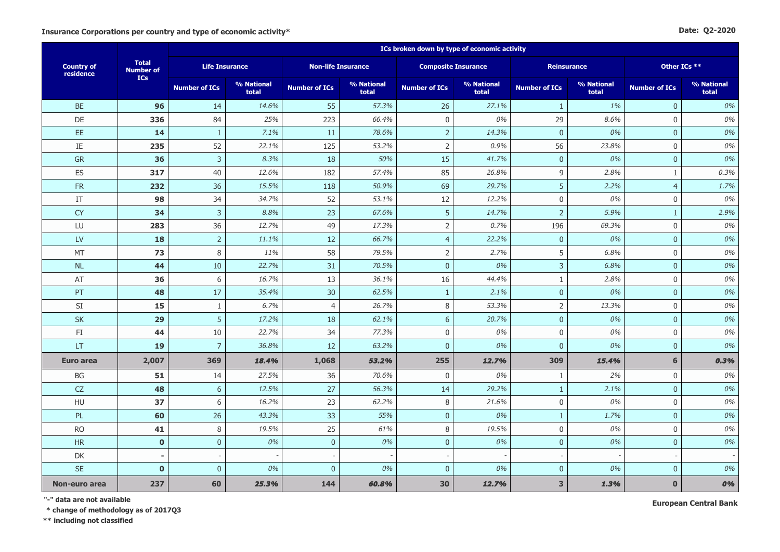#### **Date: Q2-2020**

|                                |                                  |                      | ICs broken down by type of economic activity |                           |                     |                            |                     |                         |                     |                      |                     |
|--------------------------------|----------------------------------|----------------------|----------------------------------------------|---------------------------|---------------------|----------------------------|---------------------|-------------------------|---------------------|----------------------|---------------------|
| <b>Country of</b><br>residence | <b>Total</b><br><b>Number of</b> |                      | <b>Life Insurance</b>                        | <b>Non-life Insurance</b> |                     | <b>Composite Insurance</b> |                     |                         | <b>Reinsurance</b>  | Other ICs **         |                     |
|                                | <b>ICs</b>                       | <b>Number of ICs</b> | % National<br>total                          | <b>Number of ICs</b>      | % National<br>total | <b>Number of ICs</b>       | % National<br>total | <b>Number of ICs</b>    | % National<br>total | <b>Number of ICs</b> | % National<br>total |
| <b>BE</b>                      | 96                               | 14                   | 14.6%                                        | 55                        | 57.3%               | 26                         | 27.1%               | $\mathbf{1}$            | 1%                  | $\mathbf{0}$         | 0%                  |
| DE                             | 336                              | 84                   | 25%                                          | 223                       | 66.4%               | $\mathbf 0$                | 0%                  | 29                      | 8.6%                | $\mathbf{0}$         | 0%                  |
| EE.                            | 14                               | $\mathbf{1}$         | 7.1%                                         | 11                        | 78.6%               | $\mathbf 2$                | 14.3%               | $\overline{0}$          | 0%                  | $\overline{0}$       | 0%                  |
| $\rm IE$                       | 235                              | 52                   | 22.1%                                        | 125                       | 53.2%               | $\mathbf 2$                | 0.9%                | 56                      | 23.8%               | $\mathbf 0$          | 0%                  |
| <b>GR</b>                      | 36                               | $\overline{3}$       | 8.3%                                         | 18                        | 50%                 | 15                         | 41.7%               | $\mathbf{0}$            | 0%                  | $\mathbf{0}$         | 0%                  |
| ES                             | 317                              | 40                   | 12.6%                                        | 182                       | 57.4%               | 85                         | 26.8%               | 9                       | 2.8%                | $\mathbf{1}$         | 0.3%                |
| ${\sf FR}$                     | 232                              | 36                   | 15.5%                                        | 118                       | 50.9%               | 69                         | 29.7%               | $\overline{5}$          | 2.2%                | $\overline{4}$       | 1.7%                |
| IT                             | 98                               | 34                   | 34.7%                                        | 52                        | 53.1%               | 12                         | 12.2%               | $\boldsymbol{0}$        | 0%                  | $\mathbf 0$          | 0%                  |
| <b>CY</b>                      | 34                               | 3                    | 8.8%                                         | 23                        | 67.6%               | 5                          | 14.7%               | $\overline{2}$          | 5.9%                | $\mathbf{1}$         | 2.9%                |
| LU                             | 283                              | 36                   | 12.7%                                        | 49                        | 17.3%               | $\overline{2}$             | 0.7%                | 196                     | 69.3%               | $\mathbf 0$          | 0%                  |
| <b>LV</b>                      | 18                               | $\overline{2}$       | 11.1%                                        | 12                        | 66.7%               | $\overline{4}$             | 22.2%               | $\overline{0}$          | 0%                  | $\overline{0}$       | 0%                  |
| MT                             | 73                               | 8                    | 11%                                          | 58                        | 79.5%               | $\mathsf{2}\,$             | 2.7%                | 5                       | 6.8%                | $\mathbf 0$          | 0%                  |
| <b>NL</b>                      | 44                               | 10                   | 22.7%                                        | 31                        | 70.5%               | $\pmb{0}$                  | 0%                  | $\mathbf{3}$            | 6.8%                | $\overline{0}$       | 0%                  |
| AT                             | 36                               | 6                    | 16.7%                                        | 13                        | 36.1%               | 16                         | 44.4%               | $\mathbf{1}$            | 2.8%                | $\mathbf 0$          | 0%                  |
| PT                             | 48                               | 17                   | 35.4%                                        | 30                        | 62.5%               | $\mathbf{1}$               | 2.1%                | $\mathbf{0}$            | 0%                  | $\mathbf{0}$         | 0%                  |
| $\mathsf{SI}$                  | 15                               | $\mathbf{1}$         | 6.7%                                         | $\overline{4}$            | 26.7%               | 8                          | 53.3%               | $\mathsf{2}$            | 13.3%               | $\mathsf{0}$         | 0%                  |
| <b>SK</b>                      | 29                               | 5                    | 17.2%                                        | 18                        | 62.1%               | $6\phantom{a}$             | 20.7%               | $\mathbf{0}$            | 0%                  | $\overline{0}$       | 0%                  |
| FI                             | 44                               | $10$                 | 22.7%                                        | 34                        | 77.3%               | $\boldsymbol{0}$           | 0%                  | $\mathbf 0$             | 0%                  | $\mathbf 0$          | 0%                  |
| <b>LT</b>                      | 19                               | $\overline{7}$       | 36.8%                                        | 12                        | 63.2%               | $\overline{0}$             | 0%                  | $\overline{0}$          | 0%                  | $\overline{0}$       | 0%                  |
| <b>Euro area</b>               | 2,007                            | 369                  | 18.4%                                        | 1,068                     | 53.2%               | 255                        | 12.7%               | 309                     | 15.4%               | 6                    | 0.3%                |
| BG                             | 51                               | 14                   | 27.5%                                        | 36                        | 70.6%               | $\mathbf 0$                | 0%                  | 1                       | 2%                  | $\mathbf 0$          | 0%                  |
| CZ                             | 48                               | $6\,$                | 12.5%                                        | 27                        | 56.3%               | 14                         | 29.2%               | $\mathbf{1}$            | 2.1%                | $\mathbf{0}$         | 0%                  |
| HU                             | 37                               | 6                    | 16.2%                                        | 23                        | 62.2%               | $\,8\,$                    | 21.6%               | $\boldsymbol{0}$        | 0%                  | $\mathbf 0$          | 0%                  |
| <b>PL</b>                      | 60                               | 26                   | 43.3%                                        | 33                        | 55%                 | $\overline{0}$             | 0%                  | $\mathbf{1}$            | 1.7%                | $\overline{0}$       | 0%                  |
| <b>RO</b>                      | 41                               | $\,8\,$              | 19.5%                                        | 25                        | 61%                 | 8                          | 19.5%               | $\mathbf 0$             | 0%                  | $\mathbf 0$          | 0%                  |
| <b>HR</b>                      | $\mathbf{0}$                     | $\mathbf 0$          | 0%                                           | $\mathbf 0$               | 0%                  | $\mathbf 0$                | 0%                  | $\overline{0}$          | 0%                  | $\overline{0}$       | 0%                  |
| DK                             |                                  |                      |                                              |                           |                     |                            |                     |                         |                     |                      |                     |
| <b>SE</b>                      | $\mathbf 0$                      | $\mathbf{0}$         | 0%                                           | $\mathbf{0}$              | 0%                  | $\mathbf{0}$               | 0%                  | $\mathbf{0}$            | 0%                  | $\mathbf{0}$         | 0%                  |
| Non-euro area                  | 237                              | 60                   | 25.3%                                        | 144                       | 60,8%               | 30                         | 12.7%               | $\overline{\mathbf{3}}$ | 1.3%                | $\mathbf{0}$         | 0%                  |

**"-" data are not available**

 **\* change of methodology as of 2017Q3**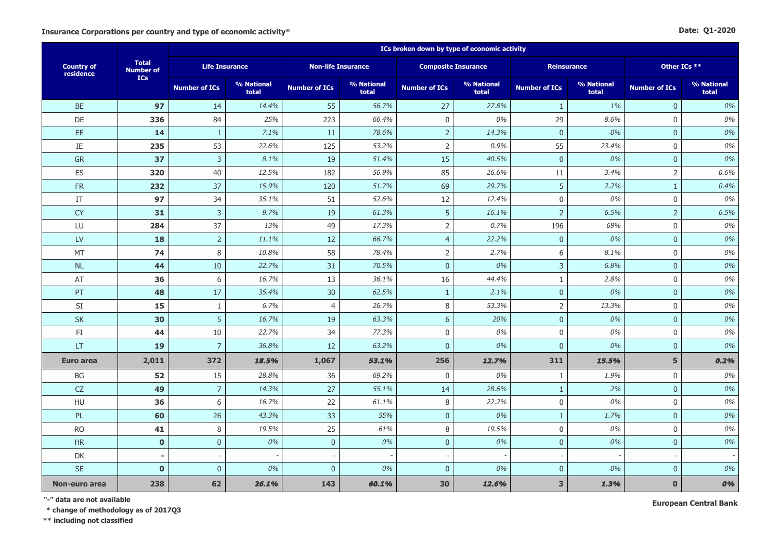|  | Date: Q1-2020 |
|--|---------------|
|--|---------------|

|                                |                                  | ICs broken down by type of economic activity |                     |                      |                           |                      |                            |                      |                     |                      |                     |  |  |
|--------------------------------|----------------------------------|----------------------------------------------|---------------------|----------------------|---------------------------|----------------------|----------------------------|----------------------|---------------------|----------------------|---------------------|--|--|
| <b>Country of</b><br>residence | <b>Total</b><br><b>Number of</b> | <b>Life Insurance</b>                        |                     |                      | <b>Non-life Insurance</b> |                      | <b>Composite Insurance</b> | Reinsurance          |                     | Other ICs **         |                     |  |  |
|                                | <b>ICs</b>                       | <b>Number of ICs</b>                         | % National<br>total | <b>Number of ICs</b> | % National<br>total       | <b>Number of ICs</b> | % National<br>total        | <b>Number of ICs</b> | % National<br>total | <b>Number of ICs</b> | % National<br>total |  |  |
| <b>BE</b>                      | 97                               | 14                                           | 14.4%               | 55                   | 56.7%                     | 27                   | 27.8%                      | $\mathbf{1}$         | 1%                  | $\overline{0}$       | 0%                  |  |  |
| DE                             | 336                              | 84                                           | 25%                 | 223                  | 66.4%                     | $\mathsf{O}\xspace$  | 0%                         | 29                   | 8.6%                | $\mathbf 0$          | 0%                  |  |  |
| EE.                            | 14                               | $\mathbf{1}$                                 | 7.1%                | 11                   | 78.6%                     | $\sqrt{2}$           | 14.3%                      | $\bf 0$              | 0%                  | $\mathbf 0$          | 0%                  |  |  |
| IE                             | 235                              | 53                                           | 22.6%               | 125                  | 53.2%                     | $\overline{2}$       | 0.9%                       | 55                   | 23.4%               | $\mathbf 0$          | 0%                  |  |  |
| <b>GR</b>                      | 37                               | $\mathsf{3}$                                 | 8.1%                | 19                   | 51.4%                     | 15                   | 40.5%                      | $\overline{0}$       | 0%                  | $\overline{0}$       | 0%                  |  |  |
| ES                             | 320                              | 40                                           | 12.5%               | 182                  | 56.9%                     | 85                   | 26.6%                      | 11                   | 3.4%                | $\overline{2}$       | 0.6%                |  |  |
| FR                             | 232                              | 37                                           | 15.9%               | 120                  | 51.7%                     | 69                   | 29.7%                      | 5                    | 2.2%                | $\mathbf{1}$         | 0.4%                |  |  |
| IT                             | 97                               | 34                                           | 35.1%               | 51                   | 52.6%                     | 12                   | 12.4%                      | $\mathbf 0$          | 0%                  | $\mathbf 0$          | 0%                  |  |  |
| <b>CY</b>                      | 31                               | $\mathsf{3}$                                 | 9.7%                | 19                   | 61.3%                     | 5                    | 16.1%                      | $\overline{2}$       | 6.5%                | $\overline{2}$       | 6.5%                |  |  |
| LU                             | 284                              | 37                                           | 13%                 | 49                   | 17.3%                     | $\mathsf{2}\,$       | 0.7%                       | 196                  | 69%                 | $\mathbf 0$          | 0%                  |  |  |
| LV                             | 18                               | $\overline{2}$                               | 11.1%               | 12                   | 66.7%                     | $\overline{4}$       | 22.2%                      | $\overline{0}$       | 0%                  | $\mathbf{0}$         | 0%                  |  |  |
| MT                             | 74                               | $\,8\,$                                      | 10.8%               | 58                   | 78.4%                     | $\overline{2}$       | 2.7%                       | 6                    | 8.1%                | $\mathbf 0$          | 0%                  |  |  |
| NL                             | 44                               | 10                                           | 22.7%               | 31                   | 70.5%                     | $\pmb{0}$            | 0%                         | $\overline{3}$       | 6.8%                | $\mathbf{0}$         | 0%                  |  |  |
| AT                             | 36                               | 6                                            | 16.7%               | 13                   | 36.1%                     | 16                   | 44.4%                      | $\mathbf{1}$         | 2.8%                | $\mathbf 0$          | 0%                  |  |  |
| PT                             | 48                               | 17                                           | 35.4%               | 30                   | 62.5%                     | $\mathbf{1}$         | 2.1%                       | $\mathbf{0}$         | 0%                  | $\overline{0}$       | 0%                  |  |  |
| $\mathsf{SI}$                  | 15                               | 1                                            | 6.7%                | $\overline{4}$       | 26.7%                     | 8                    | 53.3%                      | $\overline{2}$       | 13.3%               | $\mathbf 0$          | 0%                  |  |  |
| SK                             | 30                               | 5                                            | 16.7%               | 19                   | 63.3%                     | $6\,$                | 20%                        | $\boldsymbol{0}$     | 0%                  | $\mathbf{0}$         | 0%                  |  |  |
| FI                             | 44                               | 10                                           | 22.7%               | 34                   | 77.3%                     | $\mathbf 0$          | 0%                         | $\mathbf 0$          | 0%                  | $\mathbf 0$          | 0%                  |  |  |
| <b>LT</b>                      | <b>19</b>                        | $\overline{7}$                               | 36.8%               | 12                   | 63.2%                     | $\mathbf{0}$         | 0%                         | $\overline{0}$       | 0%                  | $\mathbf{0}$         | 0%                  |  |  |
| <b>Euro area</b>               | 2,011                            | 372                                          | 18.5%               | 1,067                | 53.1%                     | 256                  | 12.7%                      | 311                  | 15.5%               | 5                    | 0.2%                |  |  |
| BG                             | 52                               | 15                                           | 28.8%               | 36                   | 69.2%                     | $\mathbf 0$          | 0%                         | $\mathbf{1}$         | 1.9%                | $\mathbf 0$          | 0%                  |  |  |
| CZ                             | 49                               | $\overline{7}$                               | 14.3%               | 27                   | 55.1%                     | 14                   | 28.6%                      | $\mathbf{1}$         | 2%                  | $\pmb{0}$            | 0%                  |  |  |
| <b>HU</b>                      | 36                               | 6                                            | 16.7%               | 22                   | 61.1%                     | 8                    | 22.2%                      | $\overline{0}$       | 0%                  | $\mathbf 0$          | 0%                  |  |  |
| PL                             | 60                               | 26                                           | 43.3%               | 33                   | 55%                       | $\overline{0}$       | 0%                         | $\mathbf{1}$         | 1.7%                | $\mathbf{0}$         | 0%                  |  |  |
| <b>RO</b>                      | 41                               | $\,8\,$                                      | 19.5%               | 25                   | 61%                       | 8                    | 19.5%                      | $\boldsymbol{0}$     | 0%                  | $\mathbf 0$          | 0%                  |  |  |
| HR                             | $\mathbf 0$                      | $\mathbf 0$                                  | 0%                  | $\overline{0}$       | 0%                        | $\mathbf 0$          | 0%                         | $\overline{0}$       | 0%                  | $\mathbf{0}$         | 0%                  |  |  |
| DK                             |                                  |                                              |                     |                      |                           |                      |                            |                      |                     |                      |                     |  |  |
| <b>SE</b>                      | $\mathbf 0$                      | $\mathbf{0}$                                 | 0%                  | $\mathbf{0}$         | 0%                        | $\mathbf{0}$         | 0%                         | $\mathbf{0}$         | 0%                  | $\mathbf{0}$         | 0%                  |  |  |
| Non-euro area                  | 238                              | 62                                           | 26.1%               | 143                  | 60.1%                     | 30                   | 12.6%                      | $\mathbf{3}$         | 1.3%                | $\mathbf{0}$         | 0%                  |  |  |

**"-" data are not available**

 **\* change of methodology as of 2017Q3**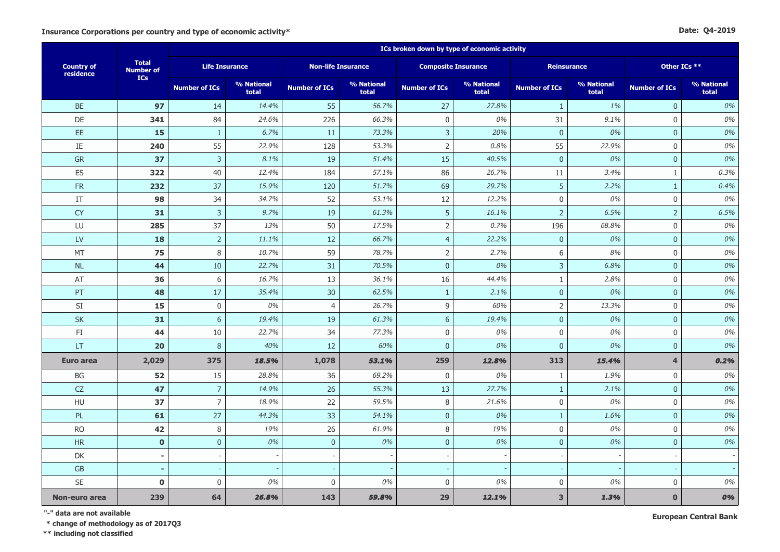|  | Date: Q4-2019 |
|--|---------------|
|--|---------------|

|                                |                                  | ICs broken down by type of economic activity |                     |                           |                     |                            |                     |                         |                     |                      |                     |  |  |
|--------------------------------|----------------------------------|----------------------------------------------|---------------------|---------------------------|---------------------|----------------------------|---------------------|-------------------------|---------------------|----------------------|---------------------|--|--|
| <b>Country of</b><br>residence | <b>Total</b><br><b>Number of</b> | <b>Life Insurance</b>                        |                     | <b>Non-life Insurance</b> |                     | <b>Composite Insurance</b> |                     |                         | <b>Reinsurance</b>  | Other ICs **         |                     |  |  |
|                                | <b>ICs</b>                       | <b>Number of ICs</b>                         | % National<br>total | <b>Number of ICs</b>      | % National<br>total | <b>Number of ICs</b>       | % National<br>total | <b>Number of ICs</b>    | % National<br>total | <b>Number of ICs</b> | % National<br>total |  |  |
| <b>BE</b>                      | 97                               | 14                                           | 14.4%               | 55                        | 56.7%               | 27                         | 27.8%               | $\mathbf{1}$            | 1%                  | $\mathbf{0}$         | $0\%$               |  |  |
| DE                             | 341                              | 84                                           | 24.6%               | 226                       | 66.3%               | $\mathbf 0$                | 0%                  | 31                      | 9.1%                | $\mathbf 0$          | $0\%$               |  |  |
| EE.                            | 15                               | $1\,$                                        | 6.7%                | 11                        | 73.3%               | $\mathsf{3}$               | 20%                 | $\bf 0$                 | 0%                  | $\overline{0}$       | $0\%$               |  |  |
| IE                             | 240                              | 55                                           | 22.9%               | 128                       | 53.3%               | $\overline{2}$             | 0.8%                | 55                      | 22.9%               | $\mathsf{O}$         | $0\%$               |  |  |
| GR                             | 37                               | $\overline{3}$                               | 8.1%                | 19                        | 51.4%               | 15                         | 40.5%               | $\mathbf{0}$            | 0%                  | $\overline{0}$       | 0%                  |  |  |
| ES                             | 322                              | 40                                           | 12.4%               | 184                       | 57.1%               | 86                         | 26.7%               | 11                      | 3.4%                | $\mathbf{1}$         | 0.3%                |  |  |
| ${\sf FR}$                     | 232                              | 37                                           | 15.9%               | 120                       | 51.7%               | 69                         | 29.7%               | 5                       | 2.2%                | $\mathbf{1}$         | 0.4%                |  |  |
| $\ensuremath{\mathsf{IT}}$     | 98                               | 34                                           | 34.7%               | 52                        | 53.1%               | 12                         | 12.2%               | $\boldsymbol{0}$        | 0%                  | $\boldsymbol{0}$     | 0%                  |  |  |
| <b>CY</b>                      | 31                               | $\mathbf{3}$                                 | 9.7%                | 19                        | 61.3%               | 5                          | 16.1%               | $\overline{2}$          | 6.5%                | $\overline{2}$       | 6.5%                |  |  |
| LU                             | 285                              | 37                                           | 13%                 | 50                        | 17.5%               | $\mathsf{2}$               | 0.7%                | 196                     | 68.8%               | $\mathbf 0$          | $0\%$               |  |  |
| <b>LV</b>                      | 18                               | $\sqrt{2}$                                   | 11.1%               | 12                        | 66.7%               | $\overline{4}$             | 22.2%               | $\overline{0}$          | 0%                  | $\overline{0}$       | 0%                  |  |  |
| MT                             | 75                               | 8                                            | 10.7%               | 59                        | 78.7%               | $\overline{2}$             | 2.7%                | $\,$ 6 $\,$             | 8%                  | $\boldsymbol{0}$     | $0\%$               |  |  |
| <b>NL</b>                      | 44                               | 10                                           | 22.7%               | 31                        | 70.5%               | $\mathbf 0$                | 0%                  | $\overline{3}$          | 6.8%                | $\overline{0}$       | 0%                  |  |  |
| AT                             | 36                               | 6                                            | 16.7%               | 13                        | 36.1%               | 16                         | 44.4%               | $\mathbf{1}$            | 2.8%                | $\mathbf 0$          | $0\%$               |  |  |
| PT                             | 48                               | 17                                           | 35.4%               | 30                        | 62.5%               | $\mathbf{1}$               | 2.1%                | $\mathbf{0}$            | 0%                  | $\overline{0}$       | 0%                  |  |  |
| SI                             | 15                               | $\boldsymbol{0}$                             | 0%                  | $\overline{4}$            | 26.7%               | 9                          | 60%                 | $\overline{2}$          | 13.3%               | $\mathbf 0$          | $0\%$               |  |  |
| SK                             | 31                               | $6\,$                                        | 19.4%               | 19                        | 61.3%               | $6\,$                      | 19.4%               | $\bf 0$                 | 0%                  | $\mathbf{0}$         | $0\%$               |  |  |
| FI                             | 44                               | 10                                           | 22.7%               | 34                        | 77.3%               | $\mathsf{O}\xspace$        | 0%                  | $\mathbf 0$             | 0%                  | $\mathbf 0$          | $0\%$               |  |  |
| LT                             | 20                               | $\boldsymbol{8}$                             | 40%                 | 12                        | 60%                 | $\overline{0}$             | 0%                  | $\overline{0}$          | 0%                  | $\overline{0}$       | 0%                  |  |  |
| <b>Euro area</b>               | 2,029                            | 375                                          | 18.5%               | 1,078                     | 53.1%               | 259                        | 12.8%               | 313                     | 15.4%               | 4                    | 0.2%                |  |  |
| BG                             | 52                               | 15                                           | 28.8%               | 36                        | 69.2%               | $\mathbf 0$                | 0%                  | $1\,$                   | 1.9%                | $\boldsymbol{0}$     | $0\%$               |  |  |
| CZ                             | 47                               | $\overline{7}$                               | 14.9%               | 26                        | 55.3%               | 13                         | 27.7%               | $\mathbf{1}$            | 2.1%                | $\overline{0}$       | 0%                  |  |  |
| HU                             | 37                               | $\overline{7}$                               | 18.9%               | 22                        | 59.5%               | $\,8\,$                    | 21.6%               | $\boldsymbol{0}$        | 0%                  | $\mathbf 0$          | $0\%$               |  |  |
| PL                             | 61                               | 27                                           | 44.3%               | 33                        | 54.1%               | $\mathbf 0$                | 0%                  | $\mathbf{1}$            | 1.6%                | $\overline{0}$       | 0%                  |  |  |
| <b>RO</b>                      | 42                               | 8                                            | 19%                 | 26                        | 61.9%               | 8                          | 19%                 | $\mathbf 0$             | 0%                  | $\mathbf 0$          | $0\%$               |  |  |
| <b>HR</b>                      | $\mathbf 0$                      | $\mathbf 0$                                  | 0%                  | $\bf 0$                   | 0%                  | $\mathbf 0$                | 0%                  | $\mathbf{0}$            | 0%                  | $\overline{0}$       | 0%                  |  |  |
| DK                             | $\blacksquare$                   |                                              |                     | $\overline{\phantom{a}}$  |                     | $\overline{\phantom{a}}$   |                     |                         |                     |                      |                     |  |  |
| ${\sf GB}$                     | $\overline{a}$                   |                                              |                     |                           |                     |                            |                     |                         |                     |                      |                     |  |  |
| SE                             | $\mathbf 0$                      | $\mathbf 0$                                  | 0%                  | $\mathbf 0$               | 0%                  | 0                          | 0%                  | $\mathbf 0$             | 0%                  | $\mathbf 0$          | 0%                  |  |  |
| Non-euro area                  | 239                              | 64                                           | 26.8%               | 143                       | 59.8%               | 29                         | 12.1%               | $\overline{\mathbf{3}}$ | 1.3%                | $\bf{0}$             | 0%                  |  |  |

**"-" data are not available**

 **\* change of methodology as of 2017Q3**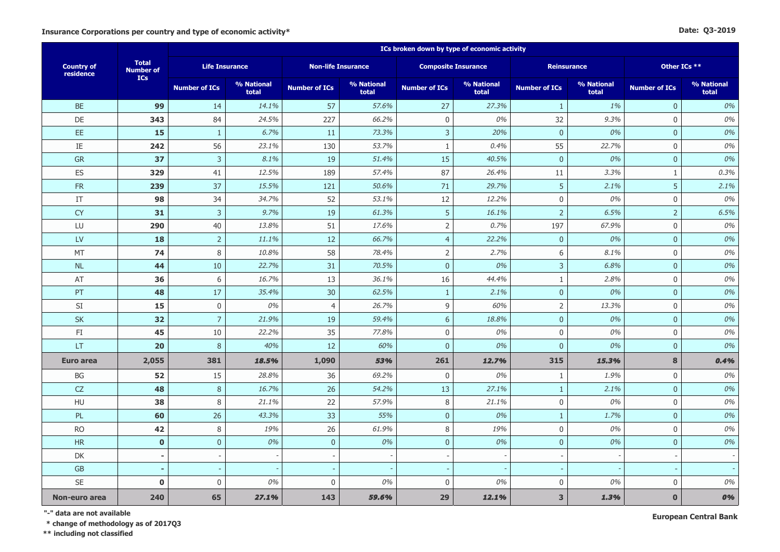#### **Date: Q3-2019**

|                                |                                  | ICs broken down by type of economic activity |                     |                           |                     |                            |                     |                         |                     |                      |                     |  |  |
|--------------------------------|----------------------------------|----------------------------------------------|---------------------|---------------------------|---------------------|----------------------------|---------------------|-------------------------|---------------------|----------------------|---------------------|--|--|
| <b>Country of</b><br>residence | <b>Total</b><br><b>Number of</b> | <b>Life Insurance</b>                        |                     | <b>Non-life Insurance</b> |                     | <b>Composite Insurance</b> |                     | <b>Reinsurance</b>      |                     | Other ICs **         |                     |  |  |
|                                | ICs                              | <b>Number of ICs</b>                         | % National<br>total | <b>Number of ICs</b>      | % National<br>total | <b>Number of ICs</b>       | % National<br>total | <b>Number of ICs</b>    | % National<br>total | <b>Number of ICs</b> | % National<br>total |  |  |
| <b>BE</b>                      | 99                               | 14                                           | 14.1%               | 57                        | 57.6%               | 27                         | 27.3%               | $\mathbf{1}$            | 1%                  | $\mathbf{0}$         | 0%                  |  |  |
| <b>DE</b>                      | 343                              | 84                                           | 24.5%               | 227                       | 66.2%               | $\mathbf 0$                | 0%                  | 32                      | 9.3%                | $\mathbf 0$          | 0%                  |  |  |
| EE.                            | 15                               | $\mathbf{1}$                                 | 6.7%                | 11                        | 73.3%               | 3                          | 20%                 | $\overline{0}$          | 0%                  | $\mathbf{0}$         | 0%                  |  |  |
| $\rm IE$                       | 242                              | 56                                           | 23.1%               | 130                       | 53.7%               | $\mathbf{1}$               | 0.4%                | 55                      | 22.7%               | $\mathbf 0$          | 0%                  |  |  |
| ${\sf GR}$                     | 37                               | $\mathsf{3}$                                 | 8.1%                | 19                        | 51.4%               | 15                         | 40.5%               | $\overline{0}$          | 0%                  | $\mathbf{0}$         | 0%                  |  |  |
| ES                             | 329                              | 41                                           | 12.5%               | 189                       | 57.4%               | 87                         | 26.4%               | 11                      | 3.3%                | $1\,$                | 0.3%                |  |  |
| ${\sf FR}$                     | 239                              | 37                                           | 15.5%               | 121                       | 50.6%               | 71                         | 29.7%               | 5                       | 2.1%                | 5                    | 2.1%                |  |  |
| $\ensuremath{\mathsf{IT}}$     | 98                               | 34                                           | 34.7%               | 52                        | 53.1%               | 12                         | 12.2%               | $\mathbf 0$             | 0%                  | $\mathsf{0}$         | 0%                  |  |  |
| <b>CY</b>                      | 31                               | $\overline{3}$                               | 9.7%                | 19                        | 61.3%               | 5                          | 16.1%               | $\overline{2}$          | 6.5%                | $\overline{2}$       | 6.5%                |  |  |
| LU                             | 290                              | 40                                           | 13.8%               | 51                        | 17.6%               | $\overline{2}$             | 0.7%                | 197                     | 67.9%               | $\mathbf 0$          | 0%                  |  |  |
| <b>LV</b>                      | 18                               | $\overline{2}$                               | 11.1%               | 12                        | 66.7%               | $\overline{4}$             | 22.2%               | $\overline{0}$          | 0%                  | $\overline{0}$       | 0%                  |  |  |
| MT                             | 74                               | 8                                            | 10.8%               | 58                        | 78.4%               | $\mathsf 2$                | 2.7%                | 6                       | 8.1%                | $\mathsf{0}$         | 0%                  |  |  |
| NL                             | 44                               | 10                                           | 22.7%               | 31                        | 70.5%               | $\pmb{0}$                  | 0%                  | $\overline{3}$          | 6.8%                | $\mathbf 0$          | 0%                  |  |  |
| AT                             | 36                               | 6                                            | 16.7%               | 13                        | 36.1%               | 16                         | 44.4%               | $\mathbf{1}$            | 2.8%                | $\mathbf 0$          | 0%                  |  |  |
| PT                             | 48                               | 17                                           | 35.4%               | 30                        | 62.5%               | $\mathbf{1}$               | 2.1%                | $\overline{0}$          | 0%                  | $\mathbf{0}$         | 0%                  |  |  |
| SI                             | 15                               | $\boldsymbol{0}$                             | 0%                  | $\overline{4}$            | 26.7%               | 9                          | 60%                 | $\overline{2}$          | 13.3%               | $\mathbf 0$          | 0%                  |  |  |
| <b>SK</b>                      | 32                               | $\overline{7}$                               | 21.9%               | 19                        | 59.4%               | $\boldsymbol{6}$           | 18.8%               | $\bf 0$                 | 0%                  | $\mathbf 0$          | 0%                  |  |  |
| FI                             | 45                               | 10                                           | 22.2%               | 35                        | 77.8%               | $\mathbf 0$                | 0%                  | $\mathbf 0$             | 0%                  | $\mathbf 0$          | 0%                  |  |  |
| LT                             | 20                               | 8                                            | 40%                 | 12                        | 60%                 | $\overline{0}$             | 0%                  | $\mathbf{0}$            | 0%                  | $\overline{0}$       | 0%                  |  |  |
| <b>Euro area</b>               | 2,055                            | 381                                          | 18.5%               | 1,090                     | 53%                 | 261                        | 12.7%               | 315                     | 15.3%               | 8                    | 0.4%                |  |  |
| BG                             | 52                               | 15                                           | 28.8%               | 36                        | 69.2%               | $\boldsymbol{0}$           | 0%                  | $\mathbf{1}$            | 1.9%                | $\mathbf 0$          | 0%                  |  |  |
| ${\sf CZ}$                     | 48                               | $\, 8$                                       | 16.7%               | 26                        | 54.2%               | 13                         | 27.1%               | $\mathbf{1}$            | 2.1%                | $\mathbf 0$          | 0%                  |  |  |
| HU                             | 38                               | 8                                            | 21.1%               | 22                        | 57.9%               | $\,8\,$                    | 21.1%               | $\boldsymbol{0}$        | 0%                  | $\mathsf{0}$         | 0%                  |  |  |
| PL                             | 60                               | 26                                           | 43.3%               | 33                        | 55%                 | $\overline{0}$             | 0%                  | $\mathbf{1}$            | 1.7%                | $\overline{0}$       | 0%                  |  |  |
| <b>RO</b>                      | 42                               | $\,8\,$                                      | 19%                 | 26                        | 61.9%               | 8                          | 19%                 | $\mathbf 0$             | 0%                  | $\mathbf 0$          | 0%                  |  |  |
| HR                             | $\mathbf 0$                      | $\bf 0$                                      | 0%                  | $\mathbf 0$               | 0%                  | $\pmb{0}$                  | 0%                  | $\mathbf{0}$            | 0%                  | $\mathbf 0$          | 0%                  |  |  |
| DK                             | $\blacksquare$                   |                                              |                     | $\overline{\phantom{a}}$  |                     | $\overline{\phantom{a}}$   |                     |                         |                     |                      |                     |  |  |
| <b>GB</b>                      |                                  |                                              |                     |                           |                     |                            |                     |                         |                     |                      |                     |  |  |
| SE                             | $\mathbf 0$                      | $\boldsymbol{0}$                             | 0%                  | $\boldsymbol{0}$          | 0%                  | $\mathbf 0$                | 0%                  | $\mathbf 0$             | 0%                  | $\mathbf 0$          | 0%                  |  |  |
| Non-euro area                  | 240                              | 65                                           | 27.1%               | 143                       | 59.6%               | 29                         | 12.1%               | $\overline{\mathbf{3}}$ | 1.3%                | $\mathbf{0}$         | 0%                  |  |  |

**"-" data are not available**

 **\* change of methodology as of 2017Q3**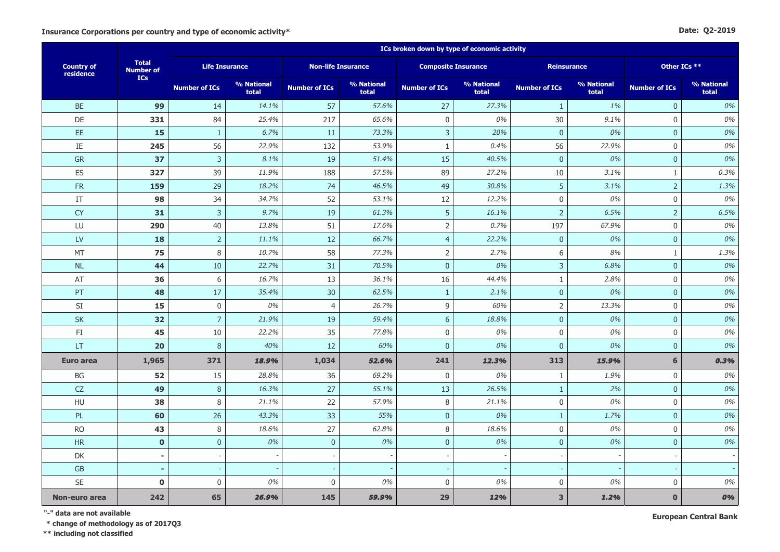#### **Date: Q2-2019**

|                                |                                  | ICs broken down by type of economic activity |                     |                           |                     |                          |                            |                      |                     |                      |                     |  |  |
|--------------------------------|----------------------------------|----------------------------------------------|---------------------|---------------------------|---------------------|--------------------------|----------------------------|----------------------|---------------------|----------------------|---------------------|--|--|
| <b>Country of</b><br>residence | <b>Total</b><br><b>Number of</b> | <b>Life Insurance</b>                        |                     | <b>Non-life Insurance</b> |                     |                          | <b>Composite Insurance</b> |                      | <b>Reinsurance</b>  | Other ICs **         |                     |  |  |
|                                | <b>ICs</b>                       | <b>Number of ICs</b>                         | % National<br>total | <b>Number of ICs</b>      | % National<br>total | <b>Number of ICs</b>     | % National<br>total        | <b>Number of ICs</b> | % National<br>total | <b>Number of ICs</b> | % National<br>total |  |  |
| <b>BE</b>                      | 99                               | 14                                           | 14.1%               | 57                        | 57.6%               | 27                       | 27.3%                      | $\mathbf{1}$         | 1%                  | $\mathbf{0}$         | 0%                  |  |  |
| DE                             | 331                              | 84                                           | 25.4%               | 217                       | 65.6%               | $\mathbf 0$              | 0%                         | 30                   | 9.1%                | $\mathbf{0}$         | 0%                  |  |  |
| EE.                            | 15                               | $\mathbf{1}$                                 | 6.7%                | 11                        | 73.3%               | 3                        | 20%                        | $\mathbf{0}$         | 0%                  | $\mathbf{0}$         | 0%                  |  |  |
| $\rm IE$                       | 245                              | 56                                           | 22.9%               | 132                       | 53.9%               | $\mathbf{1}$             | 0.4%                       | 56                   | 22.9%               | $\mathbf 0$          | 0%                  |  |  |
| GR                             | 37                               | $\overline{3}$                               | 8.1%                | 19                        | 51.4%               | 15                       | 40.5%                      | $\mathbf{0}$         | 0%                  | $\mathbf{0}$         | 0%                  |  |  |
| ES                             | 327                              | 39                                           | 11.9%               | 188                       | 57.5%               | 89                       | 27.2%                      | $10\,$               | 3.1%                | $\mathbf{1}$         | 0.3%                |  |  |
| ${\sf FR}$                     | 159                              | 29                                           | 18.2%               | 74                        | 46.5%               | 49                       | 30.8%                      | 5                    | 3.1%                | $\overline{2}$       | 1.3%                |  |  |
| IT                             | 98                               | 34                                           | 34.7%               | 52                        | 53.1%               | 12                       | 12.2%                      | $\mathbf 0$          | 0%                  | $\mathbf 0$          | 0%                  |  |  |
| <b>CY</b>                      | 31                               | $\overline{3}$                               | 9.7%                | 19                        | 61.3%               | 5                        | 16.1%                      | $\overline{2}$       | 6.5%                | $\overline{2}$       | 6.5%                |  |  |
| LU                             | 290                              | 40                                           | 13.8%               | 51                        | 17.6%               | $\overline{2}$           | 0.7%                       | 197                  | 67.9%               | $\mathbf 0$          | 0%                  |  |  |
| <b>LV</b>                      | 18                               | $\overline{2}$                               | 11.1%               | 12                        | 66.7%               | $\overline{4}$           | 22.2%                      | $\mathbf{0}$         | 0%                  | $\pmb{0}$            | 0%                  |  |  |
| MT                             | 75                               | 8                                            | 10.7%               | 58                        | 77.3%               | $\mathsf 2$              | 2.7%                       | 6                    | 8%                  | $\mathbf{1}$         | 1.3%                |  |  |
| NL                             | 44                               | 10                                           | 22.7%               | 31                        | 70.5%               | $\pmb{0}$                | 0%                         | $\mathsf 3$          | 6.8%                | $\mathbf 0$          | 0%                  |  |  |
| AT                             | 36                               | $\,$ 6 $\,$                                  | 16.7%               | 13                        | 36.1%               | 16                       | 44.4%                      | $\mathbf{1}$         | 2.8%                | $\mathbf 0$          | 0%                  |  |  |
| PT                             | 48                               | 17                                           | 35.4%               | 30                        | 62.5%               | $\mathbf{1}$             | 2.1%                       | $\overline{0}$       | 0%                  | $\mathbf{0}$         | 0%                  |  |  |
| SI                             | 15                               | $\boldsymbol{0}$                             | 0%                  | $\overline{4}$            | 26.7%               | 9                        | 60%                        | $\overline{2}$       | 13.3%               | $\mathbf 0$          | 0%                  |  |  |
| <b>SK</b>                      | 32                               | $\overline{7}$                               | 21.9%               | 19                        | 59.4%               | $6\phantom{a}$           | 18.8%                      | $\mathbf{0}$         | 0%                  | $\mathbf 0$          | 0%                  |  |  |
| FI                             | 45                               | 10                                           | 22.2%               | 35                        | 77.8%               | $\boldsymbol{0}$         | 0%                         | $\boldsymbol{0}$     | 0%                  | $\mathbf 0$          | 0%                  |  |  |
| LT                             | 20                               | $\,8\,$                                      | 40%                 | 12                        | 60%                 | $\pmb{0}$                | 0%                         | $\mathbf 0$          | 0%                  | $\mathbf 0$          | 0%                  |  |  |
| <b>Euro area</b>               | 1,965                            | 371                                          | 18.9%               | 1,034                     | 52.6%               | 241                      | 12.3%                      | 313                  | 15.9%               | 6                    | 0.3%                |  |  |
| BG                             | 52                               | 15                                           | 28.8%               | 36                        | 69.2%               | $\mathbf 0$              | 0%                         | $\mathbf{1}$         | 1.9%                | $\mathbf 0$          | 0%                  |  |  |
| <b>CZ</b>                      | 49                               | $\,8\,$                                      | 16.3%               | 27                        | 55.1%               | 13                       | 26.5%                      | $\mathbf{1}$         | 2%                  | $\pmb{0}$            | 0%                  |  |  |
| HU                             | 38                               | 8                                            | 21.1%               | 22                        | 57.9%               | $\,8\,$                  | 21.1%                      | $\boldsymbol{0}$     | 0%                  | $\mathbf 0$          | 0%                  |  |  |
| PL                             | 60                               | 26                                           | 43.3%               | 33                        | 55%                 | $\pmb{0}$                | 0%                         | $\mathbf{1}$         | 1.7%                | $\mathbf 0$          | 0%                  |  |  |
| <b>RO</b>                      | 43                               | 8                                            | 18.6%               | 27                        | 62.8%               | 8                        | 18.6%                      | $\mathbf 0$          | 0%                  | $\mathbf 0$          | 0%                  |  |  |
| <b>HR</b>                      | $\pmb{0}$                        | $\mathbf{0}$                                 | 0%                  | $\mathbf 0$               | 0%                  | $\mathbf 0$              | 0%                         | $\overline{0}$       | 0%                  | $\mathbf{0}$         | 0%                  |  |  |
| DK                             | $\overline{\phantom{a}}$         |                                              |                     | $\overline{\phantom{a}}$  |                     | $\overline{\phantom{a}}$ |                            |                      |                     |                      |                     |  |  |
| <b>GB</b>                      | $\overline{a}$                   |                                              |                     | $\overline{\phantom{a}}$  |                     |                          |                            |                      |                     |                      |                     |  |  |
| <b>SE</b>                      | $\mathbf 0$                      | $\boldsymbol{0}$                             | 0%                  | $\mathbf 0$               | 0%                  | $\mathbf 0$              | 0%                         | $\mathbf 0$          | 0%                  | $\mathbf 0$          | 0%                  |  |  |
| Non-euro area                  | 242                              | 65                                           | 26.9%               | 145                       | 59.9%               | 29                       | 12%                        | 3                    | 1.2%                | $\mathbf{0}$         | 0%                  |  |  |

**"-" data are not available**

 **\* change of methodology as of 2017Q3**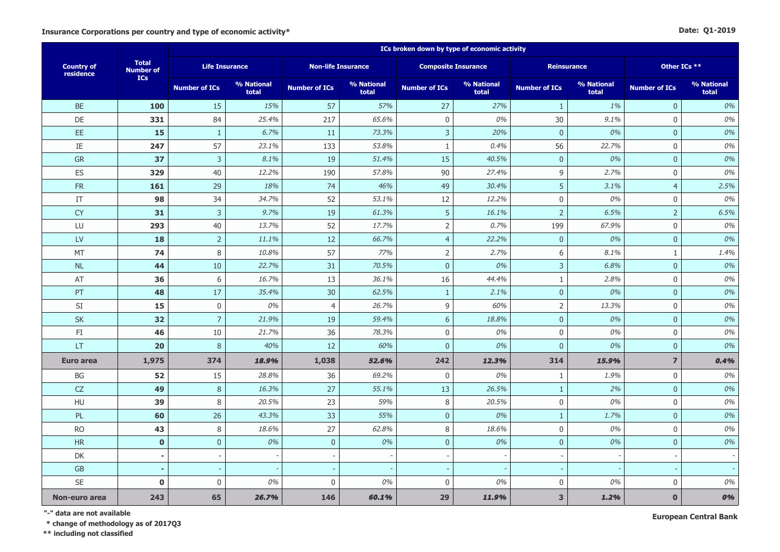#### **Date: Q1-2019**

|                                |                                  | ICs broken down by type of economic activity |                     |                           |                     |                          |                            |                      |                     |                      |                     |  |  |
|--------------------------------|----------------------------------|----------------------------------------------|---------------------|---------------------------|---------------------|--------------------------|----------------------------|----------------------|---------------------|----------------------|---------------------|--|--|
| <b>Country of</b><br>residence | <b>Total</b><br><b>Number of</b> | <b>Life Insurance</b>                        |                     | <b>Non-life Insurance</b> |                     |                          | <b>Composite Insurance</b> |                      | <b>Reinsurance</b>  | Other ICs **         |                     |  |  |
|                                | ICs                              | <b>Number of ICs</b>                         | % National<br>total | <b>Number of ICs</b>      | % National<br>total | <b>Number of ICs</b>     | % National<br>total        | <b>Number of ICs</b> | % National<br>total | <b>Number of ICs</b> | % National<br>total |  |  |
| <b>BE</b>                      | 100                              | 15                                           | 15%                 | 57                        | 57%                 | 27                       | 27%                        | $\mathbf{1}$         | 1%                  | $\mathbf{0}$         | 0%                  |  |  |
| <b>DE</b>                      | 331                              | 84                                           | 25.4%               | 217                       | 65.6%               | $\mathbf 0$              | 0%                         | 30                   | 9.1%                | $\mathbf 0$          | 0%                  |  |  |
| EE.                            | 15                               | $\mathbf{1}$                                 | 6.7%                | 11                        | 73.3%               | 3                        | 20%                        | $\overline{0}$       | 0%                  | $\overline{0}$       | 0%                  |  |  |
| $\rm IE$                       | 247                              | 57                                           | 23.1%               | 133                       | 53.8%               | $\mathbf{1}$             | 0.4%                       | 56                   | 22.7%               | $\mathbf 0$          | 0%                  |  |  |
| <b>GR</b>                      | 37                               | $\mathsf{3}$                                 | 8.1%                | 19                        | 51.4%               | 15                       | 40.5%                      | $\mathbf{0}$         | 0%                  | $\mathbf 0$          | 0%                  |  |  |
| ES                             | 329                              | 40                                           | 12.2%               | 190                       | 57.8%               | 90                       | 27.4%                      | $\overline{9}$       | 2.7%                | $\mathbf 0$          | 0%                  |  |  |
| FR                             | 161                              | 29                                           | 18%                 | 74                        | 46%                 | 49                       | 30.4%                      | 5                    | 3.1%                | $\overline{4}$       | 2.5%                |  |  |
| IT                             | 98                               | 34                                           | 34.7%               | 52                        | 53.1%               | 12                       | 12.2%                      | $\mathbf 0$          | 0%                  | $\mathbf 0$          | 0%                  |  |  |
| <b>CY</b>                      | 31                               | $\overline{3}$                               | 9.7%                | 19                        | 61.3%               | 5                        | 16.1%                      | $\overline{2}$       | 6.5%                | $\overline{2}$       | 6.5%                |  |  |
| LU                             | 293                              | 40                                           | 13.7%               | 52                        | 17.7%               | $\mathsf{2}\,$           | 0.7%                       | 199                  | 67.9%               | $\mathbf 0$          | 0%                  |  |  |
| <b>LV</b>                      | 18                               | $\overline{2}$                               | 11.1%               | 12                        | 66.7%               | $\overline{4}$           | 22.2%                      | $\mathbf{0}$         | 0%                  | $\mathbf{0}$         | 0%                  |  |  |
| MT                             | 74                               | 8                                            | 10.8%               | 57                        | 77%                 | $\mathsf 2$              | 2.7%                       | 6                    | 8.1%                | $1\,$                | 1.4%                |  |  |
| NL                             | 44                               | 10                                           | 22.7%               | 31                        | 70.5%               | $\pmb{0}$                | 0%                         | $\mathbf{3}$         | 6.8%                | $\mathbf 0$          | 0%                  |  |  |
| AT                             | 36                               | 6                                            | 16.7%               | 13                        | 36.1%               | 16                       | 44.4%                      | $\mathbf{1}$         | 2.8%                | $\mathbf 0$          | 0%                  |  |  |
| PT                             | 48                               | 17                                           | 35.4%               | 30                        | 62.5%               | $\mathbf{1}$             | 2.1%                       | $\mathbf{0}$         | 0%                  | $\overline{0}$       | 0%                  |  |  |
| SI                             | 15                               | $\mathbf 0$                                  | 0%                  | $\overline{4}$            | 26.7%               | 9                        | 60%                        | $\overline{2}$       | 13.3%               | $\mathbf 0$          | 0%                  |  |  |
| <b>SK</b>                      | 32                               | $\overline{7}$                               | 21.9%               | 19                        | 59.4%               | 6                        | 18.8%                      | $\overline{0}$       | 0%                  | $\mathbf{0}$         | 0%                  |  |  |
| FI                             | 46                               | 10                                           | 21.7%               | 36                        | 78.3%               | $\boldsymbol{0}$         | 0%                         | $\mathbf 0$          | 0%                  | $\mathbf 0$          | 0%                  |  |  |
| LT                             | 20                               | 8                                            | 40%                 | 12                        | 60%                 | $\pmb{0}$                | 0%                         | $\mathbf{0}$         | 0%                  | $\mathbf 0$          | 0%                  |  |  |
| <b>Euro area</b>               | 1,975                            | 374                                          | 18.9%               | 1,038                     | 52.6%               | 242                      | 12.3%                      | 314                  | 15.9%               | $\overline{7}$       | 0.4%                |  |  |
| BG                             | 52                               | 15                                           | 28.8%               | 36                        | 69.2%               | $\mathbf 0$              | 0%                         | $\mathbf{1}$         | 1.9%                | $\mathbf 0$          | 0%                  |  |  |
| <b>CZ</b>                      | 49                               | $\, 8$                                       | 16.3%               | 27                        | 55.1%               | 13                       | 26.5%                      | $\mathbf{1}$         | 2%                  | $\mathbf{0}$         | 0%                  |  |  |
| HU                             | 39                               | 8                                            | 20.5%               | 23                        | 59%                 | $\,8\,$                  | 20.5%                      | $\boldsymbol{0}$     | 0%                  | $\mathbf 0$          | 0%                  |  |  |
| PL                             | 60                               | 26                                           | 43.3%               | 33                        | 55%                 | $\pmb{0}$                | 0%                         | $\mathbf{1}$         | 1.7%                | $\mathbf 0$          | 0%                  |  |  |
| <b>RO</b>                      | 43                               | 8                                            | 18.6%               | 27                        | 62.8%               | 8                        | 18.6%                      | $\mathbf 0$          | 0%                  | $\mathbf 0$          | 0%                  |  |  |
| <b>HR</b>                      | $\mathbf 0$                      | $\mathbf 0$                                  | 0%                  | $\mathbf 0$               | 0%                  | $\mathbf 0$              | 0%                         | $\overline{0}$       | 0%                  | $\mathbf{0}$         | 0%                  |  |  |
| DK                             | $\overline{\phantom{a}}$         |                                              |                     | $\overline{\phantom{a}}$  |                     | $\overline{\phantom{a}}$ |                            |                      |                     |                      |                     |  |  |
| <b>GB</b>                      | $\overline{a}$                   |                                              |                     |                           |                     |                          |                            |                      |                     |                      |                     |  |  |
| <b>SE</b>                      | $\mathbf 0$                      | $\boldsymbol{0}$                             | 0%                  | $\mathbf 0$               | 0%                  | 0                        | 0%                         | $\mathbf 0$          | 0%                  | $\mathbf 0$          | 0%                  |  |  |
| Non-euro area                  | 243                              | 65                                           | 26.7%               | 146                       | 60.1%               | 29                       | 11.9%                      | 3                    | 1.2%                | $\mathbf{0}$         | 0%                  |  |  |

**"-" data are not available**

 **\* change of methodology as of 2017Q3**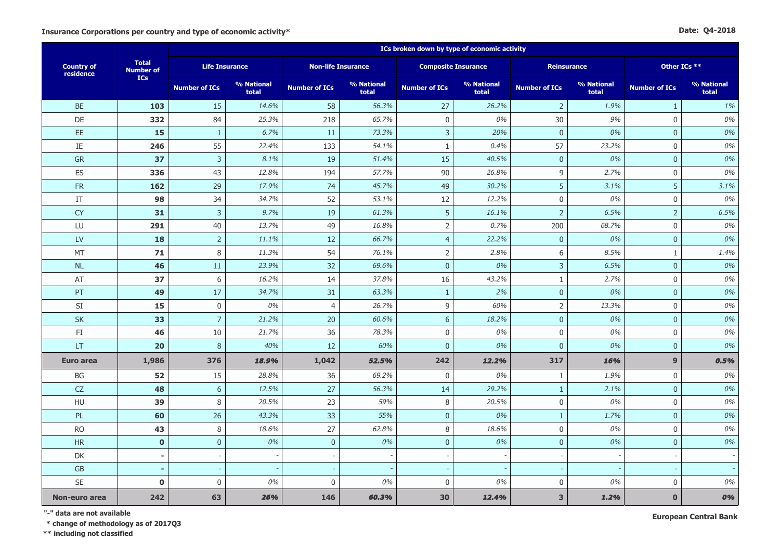|  | Date: Q4-2018 |
|--|---------------|
|--|---------------|

|                                |                                  | ICs broken down by type of economic activity |                     |                           |                     |                            |                     |                         |                     |                      |                     |  |
|--------------------------------|----------------------------------|----------------------------------------------|---------------------|---------------------------|---------------------|----------------------------|---------------------|-------------------------|---------------------|----------------------|---------------------|--|
| <b>Country of</b><br>residence | <b>Total</b><br><b>Number of</b> | <b>Life Insurance</b>                        |                     | <b>Non-life Insurance</b> |                     | <b>Composite Insurance</b> |                     |                         | <b>Reinsurance</b>  | Other ICs **         |                     |  |
|                                | <b>ICs</b>                       | <b>Number of ICs</b>                         | % National<br>total | <b>Number of ICs</b>      | % National<br>total | <b>Number of ICs</b>       | % National<br>total | <b>Number of ICs</b>    | % National<br>total | <b>Number of ICs</b> | % National<br>total |  |
| <b>BE</b>                      | 103                              | 15                                           | 14.6%               | 58                        | 56.3%               | 27                         | 26.2%               | $\overline{2}$          | 1.9%                | $\mathbf{1}$         | 1%                  |  |
| DE                             | 332                              | 84                                           | 25.3%               | 218                       | 65.7%               | $\mathbf 0$                | 0%                  | $30\,$                  | 9%                  | $\boldsymbol{0}$     | $0\%$               |  |
| EE.                            | 15                               | $1\,$                                        | 6.7%                | 11                        | 73.3%               | $\mathsf{3}$               | 20%                 | $\bf 0$                 | 0%                  | $\overline{0}$       | $0\%$               |  |
| IE                             | 246                              | 55                                           | 22.4%               | 133                       | 54.1%               | $\mathbf{1}$               | 0.4%                | 57                      | 23.2%               | $\mathsf{O}$         | $0\%$               |  |
| GR                             | 37                               | $\overline{3}$                               | 8.1%                | 19                        | 51.4%               | 15                         | 40.5%               | $\mathbf{0}$            | 0%                  | $\overline{0}$       | 0%                  |  |
| ES                             | 336                              | 43                                           | 12.8%               | 194                       | 57.7%               | 90                         | 26.8%               | 9                       | 2.7%                | $\mathsf{O}$         | $0\%$               |  |
| ${\sf FR}$                     | 162                              | 29                                           | 17.9%               | 74                        | 45.7%               | 49                         | 30.2%               | 5                       | 3.1%                | 5                    | 3.1%                |  |
| $\ensuremath{\mathsf{IT}}$     | 98                               | 34                                           | 34.7%               | 52                        | 53.1%               | 12                         | 12.2%               | $\boldsymbol{0}$        | 0%                  | $\boldsymbol{0}$     | 0%                  |  |
| <b>CY</b>                      | 31                               | $\mathbf{3}$                                 | 9.7%                | 19                        | 61.3%               | 5                          | 16.1%               | $\overline{2}$          | 6.5%                | $\overline{2}$       | 6.5%                |  |
| LU                             | 291                              | 40                                           | 13.7%               | 49                        | 16.8%               | $\mathsf{2}$               | 0.7%                | 200                     | 68.7%               | $\mathbf 0$          | $0\%$               |  |
| <b>LV</b>                      | 18                               | $\sqrt{2}$                                   | 11.1%               | 12                        | 66.7%               | $\overline{4}$             | 22.2%               | $\overline{0}$          | 0%                  | $\overline{0}$       | 0%                  |  |
| MT                             | 71                               | 8                                            | 11.3%               | 54                        | 76.1%               | $\overline{2}$             | 2.8%                | $\,$ 6 $\,$             | 8.5%                | $\mathbf{1}$         | 1.4%                |  |
| <b>NL</b>                      | 46                               | 11                                           | 23.9%               | 32                        | 69.6%               | $\mathbf{0}$               | 0%                  | $\overline{3}$          | 6.5%                | $\overline{0}$       | 0%                  |  |
| AT                             | 37                               | 6                                            | 16.2%               | 14                        | 37.8%               | 16                         | 43.2%               | $\mathbf{1}$            | 2.7%                | $\mathbf 0$          | $0\%$               |  |
| PT                             | 49                               | 17                                           | 34.7%               | 31                        | 63.3%               | $\mathbf{1}$               | 2%                  | $\mathbf{0}$            | 0%                  | $\overline{0}$       | 0%                  |  |
| SI                             | 15                               | $\boldsymbol{0}$                             | 0%                  | $\overline{4}$            | 26.7%               | 9                          | 60%                 | $\overline{2}$          | 13.3%               | $\mathbf 0$          | $0\%$               |  |
| SK                             | 33                               | $\overline{7}$                               | 21.2%               | 20                        | 60.6%               | $6\,$                      | 18.2%               | $\bf 0$                 | 0%                  | $\mathbf{0}$         | $0\%$               |  |
| FI                             | 46                               | 10                                           | 21.7%               | 36                        | 78.3%               | $\mathsf{O}\xspace$        | 0%                  | $\mathbf 0$             | 0%                  | $\mathbf 0$          | $0\%$               |  |
| LT                             | 20                               | 8                                            | 40%                 | 12                        | 60%                 | $\overline{0}$             | 0%                  | $\overline{0}$          | 0%                  | $\overline{0}$       | 0%                  |  |
| <b>Euro area</b>               | 1,986                            | 376                                          | 18.9%               | 1,042                     | 52.5%               | 242                        | 12.2%               | 317                     | 16%                 | $\mathbf{9}$         | 0.5%                |  |
| BG                             | 52                               | 15                                           | 28.8%               | 36                        | 69.2%               | $\boldsymbol{0}$           | 0%                  | $\mathbf{1}$            | 1.9%                | $\boldsymbol{0}$     | $0\%$               |  |
| CZ                             | 48                               | $6\phantom{1}6$                              | 12.5%               | 27                        | 56.3%               | 14                         | 29.2%               | $\mathbf{1}$            | 2.1%                | $\overline{0}$       | 0%                  |  |
| HU                             | 39                               | 8                                            | 20.5%               | 23                        | 59%                 | $\,8\,$                    | 20.5%               | $\boldsymbol{0}$        | 0%                  | $\mathbf 0$          | $0\%$               |  |
| PL                             | 60                               | 26                                           | 43.3%               | 33                        | 55%                 | $\mathbf 0$                | 0%                  | $\mathbf{1}$            | 1.7%                | $\overline{0}$       | 0%                  |  |
| <b>RO</b>                      | 43                               | 8                                            | 18.6%               | 27                        | 62.8%               | 8                          | 18.6%               | $\mathbf 0$             | 0%                  | $\mathbf 0$          | $0\%$               |  |
| <b>HR</b>                      | $\mathbf 0$                      | $\mathbf 0$                                  | 0%                  | $\bf 0$                   | 0%                  | $\mathbf 0$                | 0%                  | $\mathbf{0}$            | 0%                  | $\overline{0}$       | 0%                  |  |
| DK                             | $\blacksquare$                   |                                              |                     | $\overline{\phantom{a}}$  |                     | $\overline{\phantom{a}}$   |                     |                         |                     |                      |                     |  |
| ${\sf GB}$                     | $\overline{a}$                   |                                              |                     |                           |                     |                            |                     |                         |                     |                      |                     |  |
| SE                             | $\mathbf 0$                      | $\mathbf 0$                                  | 0%                  | $\boldsymbol{0}$          | 0%                  | 0                          | 0%                  | $\mathbf 0$             | 0%                  | $\mathbf 0$          | 0%                  |  |
| Non-euro area                  | 242                              | 63                                           | 26%                 | 146                       | 60.3%               | 30                         | 12.4%               | $\overline{\mathbf{3}}$ | 1.2%                | $\bf{0}$             | 0%                  |  |

**"-" data are not available**

 **\* change of methodology as of 2017Q3**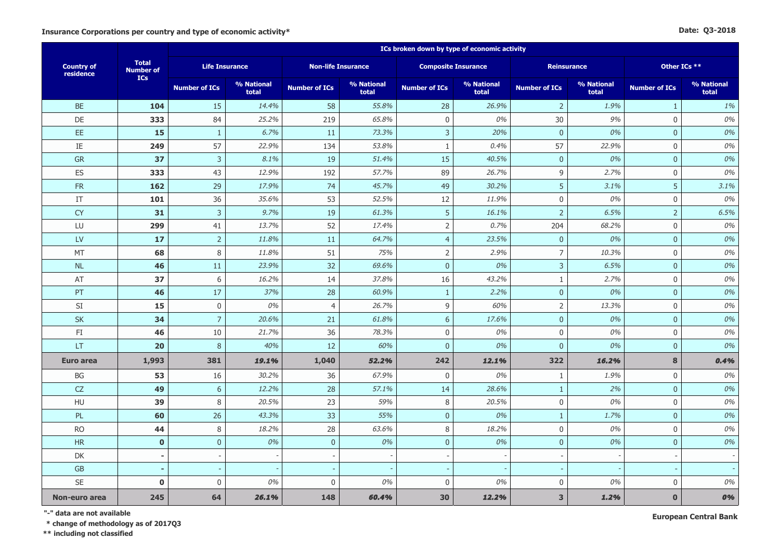#### **Date: Q3-2018**

|                                |                                  | ICs broken down by type of economic activity |                     |                           |                     |                            |                     |                      |                     |                      |                     |  |  |
|--------------------------------|----------------------------------|----------------------------------------------|---------------------|---------------------------|---------------------|----------------------------|---------------------|----------------------|---------------------|----------------------|---------------------|--|--|
| <b>Country of</b><br>residence | <b>Total</b><br><b>Number of</b> | <b>Life Insurance</b>                        |                     | <b>Non-life Insurance</b> |                     | <b>Composite Insurance</b> |                     |                      | <b>Reinsurance</b>  | Other ICs **         |                     |  |  |
|                                | <b>ICs</b>                       | <b>Number of ICs</b>                         | % National<br>total | <b>Number of ICs</b>      | % National<br>total | <b>Number of ICs</b>       | % National<br>total | <b>Number of ICs</b> | % National<br>total | <b>Number of ICs</b> | % National<br>total |  |  |
| <b>BE</b>                      | 104                              | 15                                           | 14.4%               | 58                        | 55.8%               | 28                         | 26.9%               | $\overline{2}$       | 1.9%                | $\mathbf{1}$         | 1%                  |  |  |
| <b>DE</b>                      | 333                              | 84                                           | 25.2%               | 219                       | 65.8%               | $\mathbf 0$                | 0%                  | 30                   | 9%                  | $\mathbf 0$          | 0%                  |  |  |
| EE.                            | 15                               | $\mathbf{1}$                                 | 6.7%                | 11                        | 73.3%               | 3                          | 20%                 | $\overline{0}$       | 0%                  | $\overline{0}$       | 0%                  |  |  |
| $\rm IE$                       | 249                              | 57                                           | 22.9%               | 134                       | 53.8%               | $\mathbf{1}$               | 0.4%                | 57                   | 22.9%               | $\mathbf 0$          | 0%                  |  |  |
| <b>GR</b>                      | 37                               | $\mathsf{3}$                                 | 8.1%                | 19                        | 51.4%               | 15                         | 40.5%               | $\mathbf{0}$         | 0%                  | $\mathbf 0$          | 0%                  |  |  |
| ES                             | 333                              | 43                                           | 12.9%               | 192                       | 57.7%               | 89                         | 26.7%               | $\overline{9}$       | 2.7%                | $\mathbf 0$          | 0%                  |  |  |
| FR                             | 162                              | 29                                           | 17.9%               | 74                        | 45.7%               | 49                         | 30.2%               | 5                    | 3.1%                | 5                    | 3.1%                |  |  |
| IT                             | 101                              | 36                                           | 35.6%               | 53                        | 52.5%               | 12                         | 11.9%               | $\mathbf 0$          | 0%                  | $\mathbf 0$          | 0%                  |  |  |
| <b>CY</b>                      | 31                               | $\overline{3}$                               | 9.7%                | 19                        | 61.3%               | 5                          | 16.1%               | $\overline{2}$       | 6.5%                | $\overline{2}$       | 6.5%                |  |  |
| LU                             | 299                              | 41                                           | 13.7%               | 52                        | 17.4%               | $\mathsf{2}\,$             | 0.7%                | 204                  | 68.2%               | $\mathbf 0$          | 0%                  |  |  |
| <b>LV</b>                      | 17                               | $\overline{2}$                               | 11.8%               | 11                        | 64.7%               | $\overline{4}$             | 23.5%               | $\mathbf{0}$         | 0%                  | $\mathbf{0}$         | 0%                  |  |  |
| MT                             | 68                               | 8                                            | 11.8%               | 51                        | 75%                 | $\mathsf 2$                | 2.9%                | $\overline{7}$       | 10.3%               | $\mathbf 0$          | 0%                  |  |  |
| NL                             | 46                               | 11                                           | 23.9%               | 32                        | 69.6%               | $\pmb{0}$                  | 0%                  | 3                    | 6.5%                | $\overline{0}$       | 0%                  |  |  |
| AT                             | 37                               | 6                                            | 16.2%               | 14                        | 37.8%               | 16                         | 43.2%               | $\mathbf{1}$         | 2.7%                | $\mathbf 0$          | 0%                  |  |  |
| PT                             | 46                               | 17                                           | 37%                 | 28                        | 60.9%               | $\mathbf{1}$               | 2.2%                | $\mathbf{0}$         | 0%                  | $\overline{0}$       | 0%                  |  |  |
| SI                             | 15                               | $\mathbf 0$                                  | 0%                  | $\overline{4}$            | 26.7%               | 9                          | 60%                 | $\overline{2}$       | 13.3%               | $\mathbf 0$          | $0\%$               |  |  |
| <b>SK</b>                      | 34                               | $\overline{7}$                               | 20.6%               | 21                        | 61.8%               | $6\phantom{a}$             | 17.6%               | $\overline{0}$       | 0%                  | $\mathbf{0}$         | 0%                  |  |  |
| FI                             | 46                               | 10                                           | 21.7%               | 36                        | 78.3%               | $\boldsymbol{0}$           | 0%                  | $\mathbf 0$          | 0%                  | $\mathbf 0$          | 0%                  |  |  |
| LT                             | 20                               | 8                                            | 40%                 | 12                        | 60%                 | $\overline{0}$             | 0%                  | $\mathbf{0}$         | 0%                  | $\mathbf 0$          | 0%                  |  |  |
| <b>Euro area</b>               | 1,993                            | 381                                          | 19.1%               | 1,040                     | 52.2%               | 242                        | 12.1%               | 322                  | 16.2%               | 8                    | 0.4%                |  |  |
| BG                             | 53                               | 16                                           | 30.2%               | 36                        | 67.9%               | $\mathbf 0$                | 0%                  | $\mathbf{1}$         | 1.9%                | $\mathbf 0$          | 0%                  |  |  |
| <b>CZ</b>                      | 49                               | $\sqrt{6}$                                   | 12.2%               | 28                        | 57.1%               | 14                         | 28.6%               | $\mathbf{1}$         | 2%                  | $\mathbf{0}$         | 0%                  |  |  |
| HU                             | 39                               | 8                                            | 20.5%               | 23                        | 59%                 | $\,8\,$                    | 20.5%               | $\boldsymbol{0}$     | 0%                  | $\mathbf 0$          | 0%                  |  |  |
| PL                             | 60                               | 26                                           | 43.3%               | 33                        | 55%                 | $\pmb{0}$                  | 0%                  | $\mathbf{1}$         | 1.7%                | $\mathbf 0$          | 0%                  |  |  |
| <b>RO</b>                      | 44                               | 8                                            | 18.2%               | 28                        | 63.6%               | 8                          | 18.2%               | $\mathbf 0$          | 0%                  | $\mathbf 0$          | 0%                  |  |  |
| <b>HR</b>                      | $\mathbf 0$                      | $\mathbf 0$                                  | 0%                  | $\mathbf 0$               | 0%                  | $\overline{0}$             | 0%                  | $\overline{0}$       | 0%                  | $\mathbf{0}$         | 0%                  |  |  |
| DK                             | $\blacksquare$                   |                                              |                     | $\overline{\phantom{a}}$  |                     | $\overline{\phantom{a}}$   |                     |                      |                     |                      |                     |  |  |
| <b>GB</b>                      | $\overline{a}$                   |                                              |                     |                           |                     |                            |                     |                      |                     |                      |                     |  |  |
| SE                             | $\mathbf 0$                      | $\boldsymbol{0}$                             | 0%                  | $\mathbf 0$               | 0%                  | 0                          | 0%                  | $\mathbf 0$          | 0%                  | $\mathbf 0$          | 0%                  |  |  |
| Non-euro area                  | 245                              | 64                                           | 26.1%               | 148                       | 60.4%               | 30                         | 12.2%               | 3                    | 1.2%                | $\mathbf{0}$         | 0%                  |  |  |

**"-" data are not available**

 **\* change of methodology as of 2017Q3**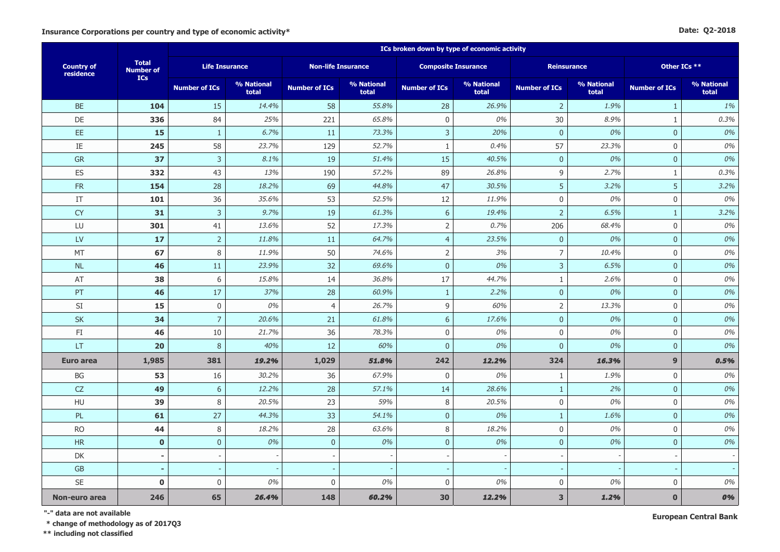#### **Date: Q2-2018**

|                                |                                  | ICs broken down by type of economic activity |                     |                      |                           |                          |                            |                         |                     |                      |                     |  |  |
|--------------------------------|----------------------------------|----------------------------------------------|---------------------|----------------------|---------------------------|--------------------------|----------------------------|-------------------------|---------------------|----------------------|---------------------|--|--|
| <b>Country of</b><br>residence | <b>Total</b><br><b>Number of</b> | <b>Life Insurance</b>                        |                     |                      | <b>Non-life Insurance</b> |                          | <b>Composite Insurance</b> | <b>Reinsurance</b>      |                     | Other ICs **         |                     |  |  |
|                                | <b>ICs</b>                       | <b>Number of ICs</b>                         | % National<br>total | <b>Number of ICs</b> | % National<br>total       | <b>Number of ICs</b>     | % National<br>total        | <b>Number of ICs</b>    | % National<br>total | <b>Number of ICs</b> | % National<br>total |  |  |
| <b>BE</b>                      | 104                              | 15                                           | 14.4%               | 58                   | 55.8%                     | 28                       | 26.9%                      | $\overline{2}$          | 1.9%                | 1                    | 1%                  |  |  |
| <b>DE</b>                      | 336                              | 84                                           | 25%                 | 221                  | 65.8%                     | $\mathbf 0$              | 0%                         | 30                      | 8.9%                | $\mathbf{1}$         | 0.3%                |  |  |
| EE.                            | 15                               | $\mathbf{1}$                                 | 6.7%                | 11                   | 73.3%                     | 3                        | 20%                        | $\overline{0}$          | 0%                  | $\overline{0}$       | 0%                  |  |  |
| $\rm IE$                       | 245                              | 58                                           | 23.7%               | 129                  | 52.7%                     | $\mathbf{1}$             | 0.4%                       | 57                      | 23.3%               | $\mathbf 0$          | $0\%$               |  |  |
| ${\sf GR}$                     | 37                               | $\mathsf{3}$                                 | 8.1%                | 19                   | 51.4%                     | 15                       | 40.5%                      | $\mathbf{0}$            | 0%                  | $\mathbf{0}$         | 0%                  |  |  |
| ES                             | 332                              | 43                                           | 13%                 | 190                  | 57.2%                     | 89                       | 26.8%                      | $\overline{9}$          | 2.7%                | $1\,$                | 0.3%                |  |  |
| ${\sf FR}$                     | 154                              | 28                                           | 18.2%               | 69                   | 44.8%                     | 47                       | 30.5%                      | 5                       | 3.2%                | 5                    | 3.2%                |  |  |
| $\ensuremath{\mathsf{IT}}$     | 101                              | 36                                           | 35.6%               | 53                   | 52.5%                     | 12                       | 11.9%                      | $\mathbf 0$             | 0%                  | $\mathbf 0$          | 0%                  |  |  |
| <b>CY</b>                      | 31                               | $\overline{3}$                               | 9.7%                | 19                   | 61.3%                     | 6                        | 19.4%                      | $\overline{2}$          | 6.5%                | $\mathbf{1}$         | 3.2%                |  |  |
| LU                             | 301                              | 41                                           | 13.6%               | 52                   | 17.3%                     | $\overline{2}$           | 0.7%                       | 206                     | 68.4%               | $\mathbf 0$          | 0%                  |  |  |
| <b>LV</b>                      | 17                               | $\overline{2}$                               | 11.8%               | 11                   | 64.7%                     | $\overline{4}$           | 23.5%                      | $\overline{0}$          | 0%                  | $\overline{0}$       | 0%                  |  |  |
| MT                             | 67                               | 8                                            | 11.9%               | 50                   | 74.6%                     | $\mathsf 2$              | 3%                         | $\overline{7}$          | 10.4%               | $\mathbf 0$          | 0%                  |  |  |
| NL                             | 46                               | 11                                           | 23.9%               | 32                   | 69.6%                     | $\mathbf 0$              | 0%                         | $\overline{3}$          | 6.5%                | $\mathbf 0$          | 0%                  |  |  |
| AT                             | 38                               | $\,$ 6 $\,$                                  | 15.8%               | 14                   | 36.8%                     | 17                       | 44.7%                      | $\mathbf{1}$            | 2.6%                | $\mathbf 0$          | 0%                  |  |  |
| PT                             | 46                               | 17                                           | 37%                 | 28                   | 60.9%                     | $\mathbf{1}$             | 2.2%                       | $\overline{0}$          | 0%                  | $\mathbf{0}$         | 0%                  |  |  |
| SI                             | 15                               | $\boldsymbol{0}$                             | 0%                  | $\overline{4}$       | 26.7%                     | 9                        | 60%                        | $\overline{2}$          | 13.3%               | $\mathbf 0$          | 0%                  |  |  |
| <b>SK</b>                      | 34                               | $\overline{7}$                               | 20.6%               | 21                   | 61.8%                     | $\boldsymbol{6}$         | 17.6%                      | $\bf 0$                 | 0%                  | $\mathbf 0$          | 0%                  |  |  |
| FI                             | 46                               | 10                                           | 21.7%               | 36                   | 78.3%                     | $\mathbf 0$              | 0%                         | $\mathbf 0$             | 0%                  | $\mathbf 0$          | 0%                  |  |  |
| LT                             | 20                               | 8                                            | 40%                 | 12                   | 60%                       | $\overline{0}$           | 0%                         | $\mathbf{0}$            | 0%                  | $\overline{0}$       | 0%                  |  |  |
| <b>Euro area</b>               | 1,985                            | 381                                          | 19.2%               | 1,029                | 51.8%                     | 242                      | 12.2%                      | 324                     | 16.3%               | $\mathbf{9}$         | 0.5%                |  |  |
| $\mathsf{B}\mathsf{G}$         | 53                               | 16                                           | 30.2%               | 36                   | 67.9%                     | $\boldsymbol{0}$         | 0%                         | $\mathbf{1}$            | 1.9%                | $\mathbf 0$          | 0%                  |  |  |
| ${\sf CZ}$                     | 49                               | $\boldsymbol{6}$                             | 12.2%               | 28                   | 57.1%                     | 14                       | 28.6%                      | $\mathbf{1}$            | 2%                  | $\mathbf 0$          | 0%                  |  |  |
| HU                             | 39                               | 8                                            | 20.5%               | 23                   | 59%                       | $\,8\,$                  | 20.5%                      | $\boldsymbol{0}$        | 0%                  | $\mathbf 0$          | 0%                  |  |  |
| PL                             | 61                               | 27                                           | 44.3%               | 33                   | 54.1%                     | $\overline{0}$           | 0%                         | $\mathbf{1}$            | 1.6%                | $\overline{0}$       | 0%                  |  |  |
| <b>RO</b>                      | 44                               | $\,8\,$                                      | 18.2%               | 28                   | 63.6%                     | 8                        | 18.2%                      | $\mathbf 0$             | 0%                  | $\mathbf 0$          | 0%                  |  |  |
| HR                             | $\mathbf 0$                      | $\bf 0$                                      | 0%                  | $\mathbf 0$          | 0%                        | $\pmb{0}$                | 0%                         | $\mathbf{0}$            | 0%                  | $\mathbf 0$          | 0%                  |  |  |
| DK                             | $\blacksquare$                   |                                              |                     |                      |                           | $\overline{\phantom{a}}$ |                            |                         |                     |                      |                     |  |  |
| <b>GB</b>                      |                                  |                                              |                     |                      |                           |                          |                            |                         |                     |                      |                     |  |  |
| <b>SE</b>                      | $\mathbf 0$                      | $\boldsymbol{0}$                             | 0%                  | $\boldsymbol{0}$     | 0%                        | $\mathbf 0$              | 0%                         | $\mathbf 0$             | 0%                  | $\mathbf 0$          | 0%                  |  |  |
| Non-euro area                  | 246                              | 65                                           | 26.4%               | 148                  | 60.2%                     | 30                       | 12.2%                      | $\overline{\mathbf{3}}$ | 1.2%                | $\mathbf{0}$         | 0%                  |  |  |

**"-" data are not available**

 **\* change of methodology as of 2017Q3**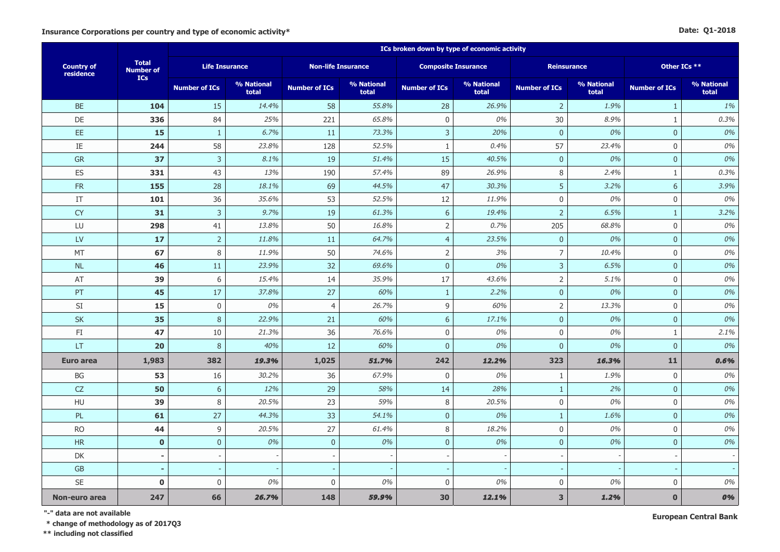|  | Date: Q1-2018 |
|--|---------------|
|--|---------------|

|                                |                           | ICs broken down by type of economic activity |                     |                           |                     |                          |                            |                      |                     |                      |                     |  |  |
|--------------------------------|---------------------------|----------------------------------------------|---------------------|---------------------------|---------------------|--------------------------|----------------------------|----------------------|---------------------|----------------------|---------------------|--|--|
| <b>Country of</b><br>residence | <b>Total</b><br>Number of | <b>Life Insurance</b>                        |                     | <b>Non-life Insurance</b> |                     |                          | <b>Composite Insurance</b> |                      | <b>Reinsurance</b>  | Other ICs **         |                     |  |  |
|                                | <b>ICs</b>                | <b>Number of ICs</b>                         | % National<br>total | <b>Number of ICs</b>      | % National<br>total | <b>Number of ICs</b>     | % National<br>total        | <b>Number of ICs</b> | % National<br>total | <b>Number of ICs</b> | % National<br>total |  |  |
| <b>BE</b>                      | 104                       | 15                                           | 14.4%               | 58                        | 55.8%               | 28                       | 26.9%                      | $\overline{2}$       | 1.9%                | $\mathbf{1}$         | 1%                  |  |  |
| DE                             | 336                       | 84                                           | 25%                 | 221                       | 65.8%               | $\boldsymbol{0}$         | 0%                         | 30                   | 8.9%                | $\mathbf{1}$         | 0.3%                |  |  |
| EE.                            | 15                        | $\mathbf{1}$                                 | 6.7%                | 11                        | 73.3%               | 3                        | 20%                        | $\overline{0}$       | 0%                  | $\mathbf{0}$         | 0%                  |  |  |
| IE                             | 244                       | 58                                           | 23.8%               | 128                       | 52.5%               | $\mathbf{1}$             | 0.4%                       | 57                   | 23.4%               | $\mathbf 0$          | 0%                  |  |  |
| GR                             | 37                        | $\overline{3}$                               | 8.1%                | 19                        | 51.4%               | 15                       | 40.5%                      | $\overline{0}$       | 0%                  | $\mathbf{0}$         | 0%                  |  |  |
| ES                             | 331                       | 43                                           | 13%                 | 190                       | 57.4%               | 89                       | 26.9%                      | 8                    | 2.4%                | $\mathbf{1}$         | 0.3%                |  |  |
| ${\sf FR}$                     | 155                       | 28                                           | 18.1%               | 69                        | 44.5%               | 47                       | 30.3%                      | 5                    | 3.2%                | 6                    | 3.9%                |  |  |
| $\ensuremath{\mathsf{IT}}$     | 101                       | 36                                           | 35.6%               | 53                        | 52.5%               | 12                       | 11.9%                      | $\boldsymbol{0}$     | 0%                  | $\mathbf 0$          | 0%                  |  |  |
| <b>CY</b>                      | 31                        | $\mathsf{3}$                                 | 9.7%                | 19                        | 61.3%               | 6                        | 19.4%                      | $\sqrt{2}$           | 6.5%                | $\mathbf{1}$         | 3.2%                |  |  |
| LU                             | 298                       | 41                                           | 13.8%               | 50                        | 16.8%               | $\mathsf{2}\,$           | 0.7%                       | 205                  | 68.8%               | $\mathbf 0$          | 0%                  |  |  |
| <b>LV</b>                      | 17                        | $\overline{2}$                               | 11.8%               | 11                        | 64.7%               | $\overline{4}$           | 23.5%                      | $\overline{0}$       | 0%                  | $\mathbf{0}$         | 0%                  |  |  |
| MT                             | 67                        | 8                                            | 11.9%               | 50                        | 74.6%               | $\overline{2}$           | 3%                         | $\overline{7}$       | 10.4%               | $\mathbf 0$          | 0%                  |  |  |
| <b>NL</b>                      | 46                        | 11                                           | 23.9%               | 32                        | 69.6%               | $\mathbf 0$              | 0%                         | $\overline{3}$       | 6.5%                | $\mathbf{0}$         | 0%                  |  |  |
| AT                             | 39                        | 6                                            | 15.4%               | 14                        | 35.9%               | 17                       | 43.6%                      | $\overline{2}$       | 5.1%                | $\mathbf 0$          | 0%                  |  |  |
| PT                             | 45                        | 17                                           | 37.8%               | 27                        | 60%                 | $\mathbf{1}$             | 2.2%                       | $\mathbf{0}$         | 0%                  | $\mathbf{0}$         | 0%                  |  |  |
| SI                             | 15                        | $\boldsymbol{0}$                             | 0%                  | $\overline{4}$            | 26.7%               | 9                        | 60%                        | $\sqrt{2}$           | 13.3%               | $\mathbf 0$          | 0%                  |  |  |
| SK                             | 35                        | $\,8\,$                                      | 22.9%               | 21                        | 60%                 | $\boldsymbol{6}$         | 17.1%                      | $\mathbf{0}$         | 0%                  | $\mathbf 0$          | 0%                  |  |  |
| FI                             | 47                        | 10                                           | 21.3%               | 36                        | 76.6%               | $\boldsymbol{0}$         | 0%                         | $\mathbf 0$          | 0%                  | $\mathbf{1}$         | 2.1%                |  |  |
| LT                             | 20                        | 8                                            | 40%                 | 12                        | 60%                 | $\mathbf 0$              | 0%                         | $\mathbf{0}$         | 0%                  | $\mathbf{0}$         | 0%                  |  |  |
| <b>Euro area</b>               | 1,983                     | 382                                          | 19.3%               | 1,025                     | 51.7%               | 242                      | 12.2%                      | 323                  | 16.3%               | 11                   | 0.6%                |  |  |
| BG                             | 53                        | 16                                           | 30.2%               | 36                        | 67.9%               | $\mathbf 0$              | 0%                         | $\mathbf{1}$         | 1.9%                | $\mathbf 0$          | 0%                  |  |  |
| CZ                             | 50                        | $\sqrt{6}$                                   | 12%                 | 29                        | 58%                 | 14                       | 28%                        | $\mathbf{1}$         | 2%                  | $\mathbf 0$          | 0%                  |  |  |
| HU                             | 39                        | 8                                            | 20.5%               | 23                        | 59%                 | $\,8\,$                  | 20.5%                      | $\boldsymbol{0}$     | 0%                  | $\mathbf 0$          | 0%                  |  |  |
| PL                             | 61                        | 27                                           | 44.3%               | 33                        | 54.1%               | $\mathbf 0$              | 0%                         | $\mathbf{1}$         | 1.6%                | $\mathbf{0}$         | 0%                  |  |  |
| <b>RO</b>                      | 44                        | 9                                            | 20.5%               | 27                        | 61.4%               | 8                        | 18.2%                      | $\mathbf 0$          | 0%                  | $\mathbf 0$          | 0%                  |  |  |
| <b>HR</b>                      | $\mathbf 0$               | $\mathbf 0$                                  | 0%                  | $\mathbf 0$               | 0%                  | $\mathbf 0$              | 0%                         | $\mathbf{0}$         | 0%                  | $\mathbf{0}$         | 0%                  |  |  |
| DK                             | $\overline{\phantom{a}}$  |                                              |                     | $\overline{\phantom{a}}$  |                     | $\overline{\phantom{a}}$ |                            |                      |                     |                      |                     |  |  |
| ${\sf GB}$                     | $\overline{a}$            |                                              |                     | $\sim$                    |                     |                          |                            |                      |                     |                      |                     |  |  |
| SE                             | $\mathbf 0$               | $\boldsymbol{0}$                             | 0%                  | $\boldsymbol{0}$          | 0%                  | 0                        | 0%                         | $\mathbf 0$          | 0%                  | $\mathbf 0$          | 0%                  |  |  |
| Non-euro area                  | 247                       | 66                                           | 26.7%               | 148                       | 59.9%               | 30                       | 12.1%                      | 3                    | 1.2%                | $\mathbf{0}$         | 0%                  |  |  |

**"-" data are not available**

 **\* change of methodology as of 2017Q3**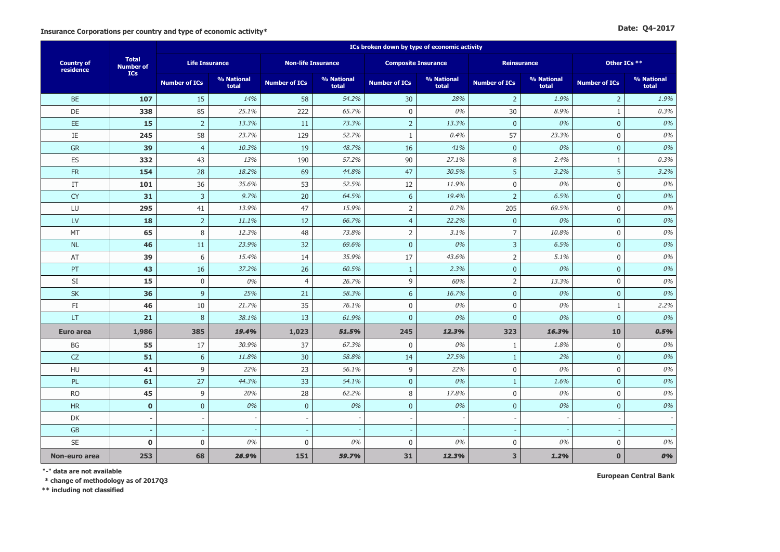|                                | <b>Total</b><br><b>Number of</b> | ICs broken down by type of economic activity |                     |                           |                     |                            |                     |                      |                     |                      |                     |  |  |
|--------------------------------|----------------------------------|----------------------------------------------|---------------------|---------------------------|---------------------|----------------------------|---------------------|----------------------|---------------------|----------------------|---------------------|--|--|
| <b>Country of</b><br>residence |                                  | <b>Life Insurance</b>                        |                     | <b>Non-life Insurance</b> |                     | <b>Composite Insurance</b> |                     | <b>Reinsurance</b>   |                     | Other ICs **         |                     |  |  |
|                                | <b>ICs</b>                       | <b>Number of ICs</b>                         | % National<br>total | <b>Number of ICs</b>      | % National<br>total | <b>Number of ICs</b>       | % National<br>total | <b>Number of ICs</b> | % National<br>total | <b>Number of ICs</b> | % National<br>total |  |  |
| <b>BE</b>                      | 107                              | 15                                           | 14%                 | 58                        | 54.2%               | 30                         | 28%                 | $\overline{2}$       | 1.9%                | $\overline{2}$       | 1.9%                |  |  |
| DE                             | 338                              | 85                                           | 25.1%               | 222                       | 65.7%               | $\mathbf 0$                | 0%                  | 30                   | 8.9%                | $\mathbf{1}$         | 0.3%                |  |  |
| EE                             | 15                               | $\overline{2}$                               | 13.3%               | 11                        | 73.3%               | $\overline{2}$             | 13.3%               | $\pmb{0}$            | 0%                  | $\boldsymbol{0}$     | 0%                  |  |  |
| IE                             | 245                              | 58                                           | 23.7%               | 129                       | 52.7%               | 1                          | 0.4%                | 57                   | 23.3%               | $\mathbf 0$          | 0%                  |  |  |
| <b>GR</b>                      | 39                               | $\overline{4}$                               | 10.3%               | 19                        | 48.7%               | 16                         | 41%                 | $\pmb{0}$            | 0%                  | $\mathbf 0$          | 0%                  |  |  |
| ES                             | 332                              | 43                                           | 13%                 | 190                       | 57.2%               | 90                         | 27.1%               | 8                    | 2.4%                | $\mathbf{1}$         | 0.3%                |  |  |
| <b>FR</b>                      | 154                              | 28                                           | 18.2%               | 69                        | 44.8%               | 47                         | 30.5%               | 5                    | 3.2%                | 5                    | 3.2%                |  |  |
| IT                             | 101                              | 36                                           | 35.6%               | 53                        | 52.5%               | 12                         | 11.9%               | $\boldsymbol{0}$     | 0%                  | 0                    | 0%                  |  |  |
| <b>CY</b>                      | 31                               | $\overline{3}$                               | 9.7%                | 20                        | 64.5%               | 6                          | 19.4%               | $\mathsf{2}$         | 6.5%                | $\mathbf{0}$         | 0%                  |  |  |
| LU                             | 295                              | 41                                           | 13.9%               | 47                        | 15.9%               | $\overline{2}$             | 0.7%                | 205                  | 69.5%               | $\boldsymbol{0}$     | 0%                  |  |  |
| LV                             | 18                               | $\overline{2}$                               | 11.1%               | 12                        | 66.7%               | $\overline{4}$             | 22.2%               | $\pmb{0}$            | 0%                  | $\mathbf{0}$         | 0%                  |  |  |
| MT                             | 65                               | $\,8\,$                                      | 12.3%               | 48                        | 73.8%               | $\overline{2}$             | 3.1%                | $\overline{7}$       | 10.8%               | $\mathsf 0$          | 0%                  |  |  |
| <b>NL</b>                      | 46                               | 11                                           | 23.9%               | 32                        | 69.6%               | $\mathbf{0}$               | 0%                  | $\overline{3}$       | 6.5%                | $\mathbf{0}$         | 0%                  |  |  |
| AT                             | 39                               | 6                                            | 15.4%               | 14                        | 35.9%               | 17                         | 43.6%               | $\overline{2}$       | 5.1%                | $\mathbf 0$          | 0%                  |  |  |
| PT                             | 43                               | 16                                           | 37.2%               | 26                        | 60.5%               | $\mathbf{1}$               | 2.3%                | $\pmb{0}$            | 0%                  | $\mathbf{0}$         | 0%                  |  |  |
| SI                             | 15                               | $\mathbf 0$                                  | 0%                  | $\overline{4}$            | 26.7%               | 9                          | 60%                 | $\overline{2}$       | 13.3%               | $\mathbf 0$          | 0%                  |  |  |
| <b>SK</b>                      | 36                               | 9                                            | 25%                 | 21                        | 58.3%               | $\sqrt{6}$                 | 16.7%               | $\pmb{0}$            | 0%                  | $\overline{0}$       | 0%                  |  |  |
| FI                             | 46                               | 10                                           | 21.7%               | 35                        | 76.1%               | $\mathbf 0$                | 0%                  | $\mathbf 0$          | 0%                  | $\mathbf{1}$         | 2.2%                |  |  |
| LT.                            | 21                               | 8                                            | 38.1%               | 13                        | 61.9%               | $\mathbf{0}$               | 0%                  | $\mathbf 0$          | 0%                  | $\pmb{0}$            | 0%                  |  |  |
| <b>Euro area</b>               | 1,986                            | 385                                          | 19.4%               | 1,023                     | 51.5%               | 245                        | 12.3%               | 323                  | 16.3%               | 10                   | 0.5%                |  |  |
| BG                             | 55                               | 17                                           | 30.9%               | 37                        | 67.3%               | $\mathbf 0$                | 0%                  | $\mathbf{1}$         | 1.8%                | $\mathbf 0$          | 0%                  |  |  |
| CZ                             | 51                               | 6                                            | 11.8%               | 30                        | 58.8%               | 14                         | 27.5%               | $1\,$                | 2%                  | $\boldsymbol{0}$     | 0%                  |  |  |
| HU                             | 41                               | 9                                            | 22%                 | 23                        | 56.1%               | 9                          | 22%                 | $\mathbf 0$          | 0%                  | $\Omega$             | 0%                  |  |  |
| PL                             | 61                               | 27                                           | 44.3%               | 33                        | 54.1%               | $\mathbf{0}$               | 0%                  | $\mathbf{1}$         | 1.6%                | $\mathbf{0}$         | $0\%$               |  |  |
| <b>RO</b>                      | 45                               | 9                                            | 20%                 | 28                        | 62.2%               | 8                          | 17.8%               | $\mathbf 0$          | 0%                  | $\mathbf 0$          | $0\%$               |  |  |
| <b>HR</b>                      | $\mathbf{0}$                     | $\mathbf{0}$                                 | 0%                  | $\mathbf{0}$              | 0%                  | $\mathbf{0}$               | 0%                  | $\pmb{0}$            | 0%                  | $\mathbf{0}$         | $0\%$               |  |  |
| DK                             | $\overline{\phantom{a}}$         | $\sim$                                       |                     |                           |                     |                            |                     | $\sim$               |                     |                      |                     |  |  |
| <b>GB</b>                      |                                  |                                              |                     |                           |                     |                            |                     |                      |                     |                      |                     |  |  |
| <b>SE</b>                      | $\bf{0}$                         | $\pmb{0}$                                    | 0%                  | $\mathbf 0$               | 0%                  | $\mathbf 0$                | 0%                  | $\pmb{0}$            | 0%                  | $\pmb{0}$            | 0%                  |  |  |
| Non-euro area                  | 253                              | 68                                           | 26.9%               | 151                       | 59.7%               | 31                         | 12.3%               | 3                    | 1.2%                | $\bf{0}$             | 0%                  |  |  |

**"-" data are not available European Central Bank**

 **\* change of methodology as of 2017Q3**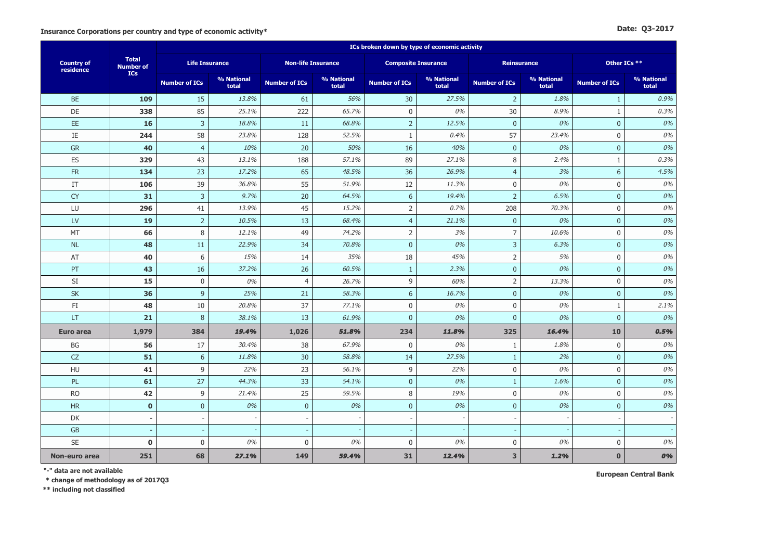|                                | <b>Total</b><br><b>Number of</b> | ICs broken down by type of economic activity |                     |                           |                     |                            |                     |                      |                     |                      |                     |  |  |
|--------------------------------|----------------------------------|----------------------------------------------|---------------------|---------------------------|---------------------|----------------------------|---------------------|----------------------|---------------------|----------------------|---------------------|--|--|
| <b>Country of</b><br>residence |                                  | <b>Life Insurance</b>                        |                     | <b>Non-life Insurance</b> |                     | <b>Composite Insurance</b> |                     | <b>Reinsurance</b>   |                     | Other ICs **         |                     |  |  |
|                                | <b>ICs</b>                       | <b>Number of ICs</b>                         | % National<br>total | <b>Number of ICs</b>      | % National<br>total | <b>Number of ICs</b>       | % National<br>total | <b>Number of ICs</b> | % National<br>total | <b>Number of ICs</b> | % National<br>total |  |  |
| <b>BE</b>                      | 109                              | 15                                           | 13.8%               | 61                        | 56%                 | 30                         | 27.5%               | $\overline{2}$       | 1.8%                | $\mathbf{1}$         | 0.9%                |  |  |
| DE                             | 338                              | 85                                           | 25.1%               | 222                       | 65.7%               | $\mathbf 0$                | 0%                  | 30                   | 8.9%                | $\mathbf{1}$         | 0.3%                |  |  |
| EE.                            | 16                               | $\overline{3}$                               | 18.8%               | 11                        | 68.8%               | $\overline{2}$             | 12.5%               | $\mathbf{0}$         | 0%                  | $\overline{0}$       | 0%                  |  |  |
| $\rm IE$                       | 244                              | 58                                           | 23.8%               | 128                       | 52.5%               | 1                          | 0.4%                | 57                   | 23.4%               | 0                    | 0%                  |  |  |
| GR                             | 40                               | $\overline{4}$                               | 10%                 | 20                        | 50%                 | 16                         | 40%                 | $\pmb{0}$            | 0%                  | $\mathbf 0$          | 0%                  |  |  |
| ES                             | 329                              | 43                                           | 13.1%               | 188                       | 57.1%               | 89                         | 27.1%               | 8                    | 2.4%                | $\mathbf{1}$         | 0.3%                |  |  |
| ${\sf FR}$                     | 134                              | 23                                           | 17.2%               | 65                        | 48.5%               | 36                         | 26.9%               | $\overline{4}$       | 3%                  | 6                    | 4.5%                |  |  |
| IT                             | 106                              | 39                                           | 36.8%               | 55                        | 51.9%               | 12                         | 11.3%               | $\pmb{0}$            | 0%                  | 0                    | $0\%$               |  |  |
| <b>CY</b>                      | 31                               | $\overline{3}$                               | 9.7%                | 20                        | 64.5%               | $6\phantom{1}$             | 19.4%               | $\overline{2}$       | 6.5%                | $\mathbf 0$          | 0%                  |  |  |
| LU                             | 296                              | 41                                           | 13.9%               | 45                        | 15.2%               | $\overline{2}$             | 0.7%                | 208                  | 70.3%               | $\mathbf 0$          | 0%                  |  |  |
| LV                             | 19                               | $\overline{2}$                               | 10.5%               | 13                        | 68.4%               | $\overline{4}$             | 21.1%               | $\pmb{0}$            | 0%                  | $\mathbf{0}$         | 0%                  |  |  |
| MT                             | 66                               | 8                                            | 12.1%               | 49                        | 74.2%               | $\overline{2}$             | 3%                  | $\overline{7}$       | 10.6%               | $\mathbf 0$          | 0%                  |  |  |
| <b>NL</b>                      | 48                               | 11                                           | 22.9%               | 34                        | 70.8%               | $\mathbf{0}$               | 0%                  | $\mathsf 3$          | 6.3%                | $\mathbf{0}$         | 0%                  |  |  |
| AT                             | 40                               | 6                                            | 15%                 | 14                        | 35%                 | 18                         | 45%                 | $\overline{2}$       | 5%                  | $\mathbf 0$          | 0%                  |  |  |
| PT                             | 43                               | 16                                           | 37.2%               | 26                        | 60.5%               | $\mathbf{1}$               | 2.3%                | $\pmb{0}$            | 0%                  | $\mathbf{0}$         | 0%                  |  |  |
| SI                             | 15                               | $\mathbf 0$                                  | 0%                  | $\overline{4}$            | 26.7%               | 9                          | 60%                 | $\mathsf{2}$         | 13.3%               | 0                    | $0\%$               |  |  |
| <b>SK</b>                      | 36                               | $\overline{9}$                               | 25%                 | 21                        | 58.3%               | $6\phantom{a}$             | 16.7%               | $\mathbf{0}$         | 0%                  | $\overline{0}$       | 0%                  |  |  |
| FI                             | 48                               | 10                                           | 20.8%               | 37                        | 77.1%               | $\mathbf 0$                | 0%                  | $\boldsymbol{0}$     | 0%                  | $1\,$                | 2.1%                |  |  |
| <b>LT</b>                      | 21                               | 8                                            | 38.1%               | 13                        | 61.9%               | $\mathbf{0}$               | 0%                  | $\overline{0}$       | 0%                  | $\mathbf{0}$         | 0%                  |  |  |
| <b>Euro area</b>               | 1,979                            | 384                                          | 19.4%               | 1,026                     | 51.8%               | 234                        | 11.8%               | 325                  | 16.4%               | 10                   | 0.5%                |  |  |
| <b>BG</b>                      | 56                               | 17                                           | 30.4%               | 38                        | 67.9%               | $\mathbf 0$                | 0%                  | $\mathbf{1}$         | 1.8%                | $\mathbf 0$          | 0%                  |  |  |
| CZ                             | 51                               | 6                                            | 11.8%               | 30                        | 58.8%               | 14                         | 27.5%               | $\mathbf{1}$         | 2%                  | $\mathbf{0}$         | 0%                  |  |  |
| HU                             | 41                               | 9                                            | 22%                 | 23                        | 56.1%               | 9                          | 22%                 | $\mathbf 0$          | 0%                  | $\mathbf{0}$         | 0%                  |  |  |
| PL                             | 61                               | 27                                           | 44.3%               | 33                        | 54.1%               | $\mathbf{0}$               | 0%                  | $\mathbf{1}$         | 1.6%                | $\overline{0}$       | 0%                  |  |  |
| <b>RO</b>                      | 42                               | 9                                            | 21.4%               | 25                        | 59.5%               | 8                          | 19%                 | $\boldsymbol{0}$     | 0%                  | 0                    | $0\%$               |  |  |
| <b>HR</b>                      | $\mathbf{0}$                     | $\mathbf{0}$                                 | 0%                  | $\mathbf{0}$              | 0%                  | $\mathbf{0}$               | 0%                  | $\mathbf{0}$         | 0%                  | $\overline{0}$       | $0\%$               |  |  |
| DK                             | $\overline{\phantom{a}}$         |                                              |                     |                           |                     |                            |                     |                      |                     |                      |                     |  |  |
| <b>GB</b>                      |                                  |                                              |                     |                           |                     |                            |                     |                      |                     |                      |                     |  |  |
| <b>SE</b>                      | $\mathbf 0$                      | $\mathbf 0$                                  | 0%                  | $\bf 0$                   | 0%                  | $\mathbf 0$                | 0%                  | $\pmb{0}$            | 0%                  | 0                    | 0%                  |  |  |
| Non-euro area                  | 251                              | 68                                           | 27.1%               | 149                       | 59.4%               | 31                         | 12.4%               | 3                    | 1.2%                | $\bf{0}$             | 0%                  |  |  |

**"-" data are not available European Central Bank**

 **\* change of methodology as of 2017Q3**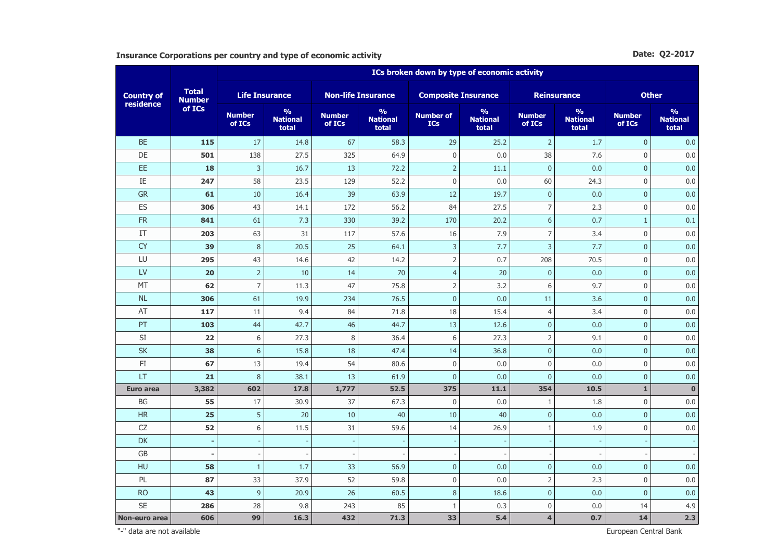Insurance Corporations per country and type of economic activity **Date: Q2-2017** Date: Q2-2017

|                                | <b>Total</b><br><b>Number</b> | ICs broken down by type of economic activity |                                           |                           |                                           |                                |                                           |                          |                                           |                         |                                           |  |  |
|--------------------------------|-------------------------------|----------------------------------------------|-------------------------------------------|---------------------------|-------------------------------------------|--------------------------------|-------------------------------------------|--------------------------|-------------------------------------------|-------------------------|-------------------------------------------|--|--|
| <b>Country of</b><br>residence |                               | <b>Life Insurance</b>                        |                                           | <b>Non-life Insurance</b> |                                           | <b>Composite Insurance</b>     |                                           | <b>Reinsurance</b>       |                                           | <b>Other</b>            |                                           |  |  |
|                                | of ICs                        | <b>Number</b><br>of ICs                      | $\frac{9}{6}$<br><b>National</b><br>total | <b>Number</b><br>of ICs   | $\frac{9}{6}$<br><b>National</b><br>total | <b>Number of</b><br><b>ICs</b> | $\frac{9}{6}$<br><b>National</b><br>total | <b>Number</b><br>of ICs  | $\frac{9}{6}$<br><b>National</b><br>total | <b>Number</b><br>of ICs | $\frac{9}{6}$<br><b>National</b><br>total |  |  |
| <b>BE</b>                      | 115                           | 17                                           | 14.8                                      | 67                        | 58.3                                      | 29                             | 25.2                                      | $\overline{2}$           | 1.7                                       | $\overline{0}$          | 0.0                                       |  |  |
| DE                             | 501                           | 138                                          | 27.5                                      | 325                       | 64.9                                      | $\boldsymbol{0}$               | 0.0                                       | 38                       | 7.6                                       | $\Omega$                | 0.0                                       |  |  |
| EE                             | 18                            | 3                                            | 16.7                                      | 13                        | 72.2                                      | $\overline{2}$                 | 11.1                                      | $\mathbf{0}$             | 0.0                                       | $\overline{0}$          | 0.0                                       |  |  |
| IE                             | 247                           | 58                                           | 23.5                                      | 129                       | 52.2                                      | $\mathbf 0$                    | 0.0                                       | 60                       | 24.3                                      | $\mathbf 0$             | 0.0                                       |  |  |
| <b>GR</b>                      | 61                            | 10                                           | 16.4                                      | 39                        | 63.9                                      | 12                             | 19.7                                      | $\pmb{0}$                | 0.0                                       | $\overline{0}$          | 0.0                                       |  |  |
| ES                             | 306                           | 43                                           | 14.1                                      | 172                       | 56.2                                      | 84                             | 27.5                                      | $\overline{7}$           | 2.3                                       | $\mathbf 0$             | 0.0                                       |  |  |
| ${\sf FR}$                     | 841                           | 61                                           | 7.3                                       | 330                       | 39.2                                      | 170                            | 20.2                                      | 6                        | 0.7                                       | $\mathbf{1}$            | 0.1                                       |  |  |
| IT                             | 203                           | 63                                           | 31                                        | 117                       | 57.6                                      | 16                             | 7.9                                       | $\overline{7}$           | 3.4                                       | $\mathbf 0$             | 0.0                                       |  |  |
| <b>CY</b>                      | 39                            | $\,8\,$                                      | 20.5                                      | 25                        | 64.1                                      | 3                              | 7.7                                       | 3                        | 7.7                                       | $\pmb{0}$               | 0.0                                       |  |  |
| LU                             | 295                           | 43                                           | 14.6                                      | 42                        | 14.2                                      | $\overline{2}$                 | 0.7                                       | 208                      | 70.5                                      | $\mathbf 0$             | 0.0                                       |  |  |
| LV                             | 20                            | $\overline{2}$                               | 10                                        | 14                        | 70                                        | $\overline{4}$                 | 20                                        | $\pmb{0}$                | 0.0                                       | $\bf 0$                 | 0.0                                       |  |  |
| <b>MT</b>                      | 62                            | $\overline{7}$                               | 11.3                                      | 47                        | 75.8                                      | $\overline{2}$                 | 3.2                                       | 6                        | 9.7                                       | $\mathbf 0$             | 0.0                                       |  |  |
| <b>NL</b>                      | 306                           | 61                                           | 19.9                                      | 234                       | 76.5                                      | $\pmb{0}$                      | 0.0                                       | 11                       | 3.6                                       | $\pmb{0}$               | 0.0                                       |  |  |
| AT                             | 117                           | 11                                           | 9.4                                       | 84                        | 71.8                                      | 18                             | 15.4                                      | $\overline{4}$           | 3.4                                       | $\mathbf 0$             | 0.0                                       |  |  |
| PT                             | 103                           | 44                                           | 42.7                                      | 46                        | 44.7                                      | 13                             | 12.6                                      | $\overline{0}$           | 0.0                                       | $\overline{0}$          | 0.0                                       |  |  |
| SI                             | 22                            | 6                                            | 27.3                                      | 8                         | 36.4                                      | 6                              | 27.3                                      | $\overline{2}$           | 9.1                                       | $\mathbf 0$             | 0.0                                       |  |  |
| <b>SK</b>                      | 38                            | 6                                            | 15.8                                      | 18                        | 47.4                                      | 14                             | 36.8                                      | $\mathbf{0}$             | 0.0                                       | $\overline{0}$          | 0.0                                       |  |  |
| FI                             | 67                            | 13                                           | 19.4                                      | 54                        | 80.6                                      | $\boldsymbol{0}$               | 0.0                                       | 0                        | 0.0                                       | $\mathbf 0$             | 0.0                                       |  |  |
| LT                             | 21                            | 8                                            | 38.1                                      | 13                        | 61.9                                      | $\overline{0}$                 | 0.0                                       | $\mathbf{0}$             | 0.0                                       | $\overline{0}$          | 0.0                                       |  |  |
| <b>Euro area</b>               | 3,382                         | 602                                          | 17.8                                      | 1,777                     | 52.5                                      | 375                            | 11.1                                      | 354                      | 10.5                                      | $\mathbf{1}$            | $\mathbf 0$                               |  |  |
| BG                             | 55                            | 17                                           | 30.9                                      | 37                        | 67.3                                      | $\boldsymbol{0}$               | 0.0                                       | $1\,$                    | 1.8                                       | $\mathbf 0$             | 0.0                                       |  |  |
| <b>HR</b>                      | 25                            | 5                                            | 20                                        | 10                        | 40                                        | 10                             | 40                                        | $\overline{0}$           | 0.0                                       | $\overline{0}$          | 0.0                                       |  |  |
| CZ                             | 52                            | 6                                            | 11.5                                      | 31                        | 59.6                                      | 14                             | 26.9                                      | $1\,$                    | 1.9                                       | $\mathbf 0$             | 0.0                                       |  |  |
| <b>DK</b>                      | $\sim$                        | ÷,                                           | $\overline{\phantom{a}}$                  | $\overline{\phantom{a}}$  |                                           | $\overline{\phantom{a}}$       |                                           | $\overline{\phantom{a}}$ | $\overline{\phantom{a}}$                  |                         |                                           |  |  |
| GB                             | ٠                             |                                              |                                           |                           |                                           |                                |                                           |                          |                                           |                         |                                           |  |  |
| HU                             | 58                            | $\mathbf{1}$                                 | 1.7                                       | 33                        | 56.9                                      | $\overline{0}$                 | 0.0                                       | $\pmb{0}$                | 0.0                                       | $\overline{0}$          | 0.0                                       |  |  |
| PL                             | 87                            | 33                                           | 37.9                                      | 52                        | 59.8                                      | $\boldsymbol{0}$               | 0.0                                       | $\overline{2}$           | 2.3                                       | 0                       | 0.0                                       |  |  |
| <b>RO</b>                      | 43                            | 9                                            | 20.9                                      | 26                        | 60.5                                      | 8                              | 18.6                                      | $\overline{0}$           | 0.0                                       | $\overline{0}$          | 0.0                                       |  |  |
| <b>SE</b>                      | 286                           | 28                                           | 9.8                                       | 243                       | 85                                        | $1\,$                          | 0.3                                       | 0                        | 0.0                                       | 14                      | 4.9                                       |  |  |
| Non-euro area                  | 606                           | 99                                           | 16.3                                      | 432                       | 71.3                                      | 33                             | 5.4                                       | $\overline{\mathbf{4}}$  | 0.7                                       | 14                      | 2.3                                       |  |  |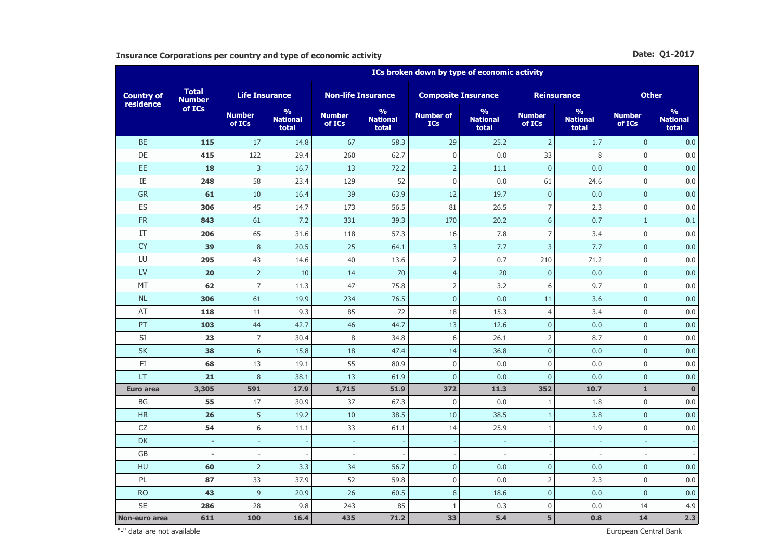**Insurance Corporations per country and type of economic activity <b>Date: Q1-2017 Date: Q1-2017** 

|                                | <b>Total</b><br><b>Number</b> | ICs broken down by type of economic activity |                                           |                           |                                           |                                |                                           |                          |                                           |                         |                                           |  |  |
|--------------------------------|-------------------------------|----------------------------------------------|-------------------------------------------|---------------------------|-------------------------------------------|--------------------------------|-------------------------------------------|--------------------------|-------------------------------------------|-------------------------|-------------------------------------------|--|--|
| <b>Country of</b><br>residence |                               | <b>Life Insurance</b>                        |                                           | <b>Non-life Insurance</b> |                                           | <b>Composite Insurance</b>     |                                           | <b>Reinsurance</b>       |                                           | <b>Other</b>            |                                           |  |  |
|                                | of ICs                        | <b>Number</b><br>of ICs                      | $\frac{9}{6}$<br><b>National</b><br>total | <b>Number</b><br>of ICs   | $\frac{9}{6}$<br><b>National</b><br>total | <b>Number of</b><br><b>ICs</b> | $\frac{9}{6}$<br><b>National</b><br>total | <b>Number</b><br>of ICs  | $\frac{9}{6}$<br><b>National</b><br>total | <b>Number</b><br>of ICs | $\frac{9}{6}$<br><b>National</b><br>total |  |  |
| <b>BE</b>                      | 115                           | 17                                           | 14.8                                      | 67                        | 58.3                                      | 29                             | 25.2                                      | $\overline{2}$           | 1.7                                       | $\overline{0}$          | 0.0                                       |  |  |
| DE                             | 415                           | 122                                          | 29.4                                      | 260                       | 62.7                                      | $\boldsymbol{0}$               | 0.0                                       | 33                       | $\,8\,$                                   | $\Omega$                | 0.0                                       |  |  |
| EE                             | 18                            | 3                                            | 16.7                                      | 13                        | 72.2                                      | $\overline{2}$                 | 11.1                                      | $\mathbf{0}$             | 0.0                                       | $\mathbf{0}$            | 0.0                                       |  |  |
| IE                             | 248                           | 58                                           | 23.4                                      | 129                       | 52                                        | $\mathbf 0$                    | 0.0                                       | 61                       | 24.6                                      | $\overline{0}$          | 0.0                                       |  |  |
| <b>GR</b>                      | 61                            | 10                                           | 16.4                                      | 39                        | 63.9                                      | 12                             | 19.7                                      | $\pmb{0}$                | 0.0                                       | $\overline{0}$          | 0.0                                       |  |  |
| ES                             | 306                           | 45                                           | 14.7                                      | 173                       | 56.5                                      | 81                             | 26.5                                      | $\overline{7}$           | 2.3                                       | $\mathbf 0$             | 0.0                                       |  |  |
| ${\sf FR}$                     | 843                           | 61                                           | 7.2                                       | 331                       | 39.3                                      | 170                            | 20.2                                      | 6                        | 0.7                                       | $\mathbf{1}$            | 0.1                                       |  |  |
| IT                             | 206                           | 65                                           | 31.6                                      | 118                       | 57.3                                      | 16                             | 7.8                                       | $\overline{7}$           | 3.4                                       | $\mathbf 0$             | 0.0                                       |  |  |
| <b>CY</b>                      | 39                            | $\,8\,$                                      | 20.5                                      | 25                        | 64.1                                      | 3                              | 7.7                                       | 3                        | 7.7                                       | $\pmb{0}$               | 0.0                                       |  |  |
| LU                             | 295                           | 43                                           | 14.6                                      | 40                        | 13.6                                      | $\overline{2}$                 | 0.7                                       | 210                      | 71.2                                      | $\mathbf 0$             | 0.0                                       |  |  |
| LV                             | 20                            | $\overline{2}$                               | 10                                        | 14                        | 70                                        | $\overline{4}$                 | 20                                        | $\pmb{0}$                | 0.0                                       | $\bf 0$                 | 0.0                                       |  |  |
| <b>MT</b>                      | 62                            | $\overline{7}$                               | 11.3                                      | 47                        | 75.8                                      | $\overline{2}$                 | 3.2                                       | 6                        | 9.7                                       | $\mathbf 0$             | 0.0                                       |  |  |
| <b>NL</b>                      | 306                           | 61                                           | 19.9                                      | 234                       | 76.5                                      | $\pmb{0}$                      | 0.0                                       | 11                       | 3.6                                       | $\pmb{0}$               | 0.0                                       |  |  |
| AT                             | 118                           | 11                                           | 9.3                                       | 85                        | 72                                        | 18                             | 15.3                                      | $\overline{4}$           | 3.4                                       | $\mathbf 0$             | 0.0                                       |  |  |
| PT                             | 103                           | 44                                           | 42.7                                      | 46                        | 44.7                                      | 13                             | 12.6                                      | $\overline{0}$           | 0.0                                       | $\mathbf{0}$            | 0.0                                       |  |  |
| SI                             | 23                            | $\overline{7}$                               | 30.4                                      | 8                         | 34.8                                      | 6                              | 26.1                                      | $\overline{2}$           | 8.7                                       | $\mathbf 0$             | 0.0                                       |  |  |
| <b>SK</b>                      | 38                            | 6                                            | 15.8                                      | 18                        | 47.4                                      | 14                             | 36.8                                      | $\mathbf{0}$             | 0.0                                       | $\overline{0}$          | 0.0                                       |  |  |
| FI                             | 68                            | 13                                           | 19.1                                      | 55                        | 80.9                                      | $\boldsymbol{0}$               | 0.0                                       | 0                        | 0.0                                       | $\overline{0}$          | 0.0                                       |  |  |
| LT                             | 21                            | 8                                            | 38.1                                      | 13                        | 61.9                                      | $\overline{0}$                 | 0.0                                       | $\mathbf 0$              | 0.0                                       | $\overline{0}$          | 0.0                                       |  |  |
| <b>Euro area</b>               | 3,305                         | 591                                          | 17.9                                      | 1,715                     | 51.9                                      | 372                            | 11.3                                      | 352                      | 10.7                                      | $\mathbf{1}$            | $\mathbf 0$                               |  |  |
| BG                             | 55                            | 17                                           | 30.9                                      | 37                        | 67.3                                      | $\boldsymbol{0}$               | 0.0                                       | $1\,$                    | 1.8                                       | $\mathbf 0$             | 0.0                                       |  |  |
| <b>HR</b>                      | 26                            | 5                                            | 19.2                                      | 10                        | 38.5                                      | 10                             | 38.5                                      | $\,1\,$                  | 3.8                                       | $\overline{0}$          | 0.0                                       |  |  |
| CZ                             | 54                            | 6                                            | 11.1                                      | 33                        | 61.1                                      | 14                             | 25.9                                      | $1\,$                    | 1.9                                       | $\mathbf 0$             | 0.0                                       |  |  |
| <b>DK</b>                      | $\sim$                        | ÷,                                           | $\overline{\phantom{a}}$                  | $\overline{\phantom{a}}$  |                                           | $\overline{\phantom{a}}$       |                                           | $\overline{\phantom{a}}$ | $\overline{\phantom{a}}$                  |                         |                                           |  |  |
| GB                             | ۰                             |                                              |                                           |                           |                                           |                                |                                           |                          |                                           |                         |                                           |  |  |
| HU                             | 60                            | $\overline{2}$                               | 3.3                                       | 34                        | 56.7                                      | $\overline{0}$                 | 0.0                                       | $\pmb{0}$                | 0.0                                       | $\overline{0}$          | 0.0                                       |  |  |
| PL                             | 87                            | 33                                           | 37.9                                      | 52                        | 59.8                                      | $\boldsymbol{0}$               | 0.0                                       | $\overline{2}$           | 2.3                                       | 0                       | 0.0                                       |  |  |
| <b>RO</b>                      | 43                            | 9                                            | 20.9                                      | 26                        | 60.5                                      | 8                              | 18.6                                      | $\overline{0}$           | 0.0                                       | $\mathbf{0}$            | 0.0                                       |  |  |
| <b>SE</b>                      | 286                           | 28                                           | 9.8                                       | 243                       | 85                                        | $1\,$                          | 0.3                                       | 0                        | 0.0                                       | 14                      | 4.9                                       |  |  |
| Non-euro area                  | 611                           | 100                                          | 16.4                                      | 435                       | 71.2                                      | 33                             | 5.4                                       | 5                        | 0.8                                       | 14                      | 2.3                                       |  |  |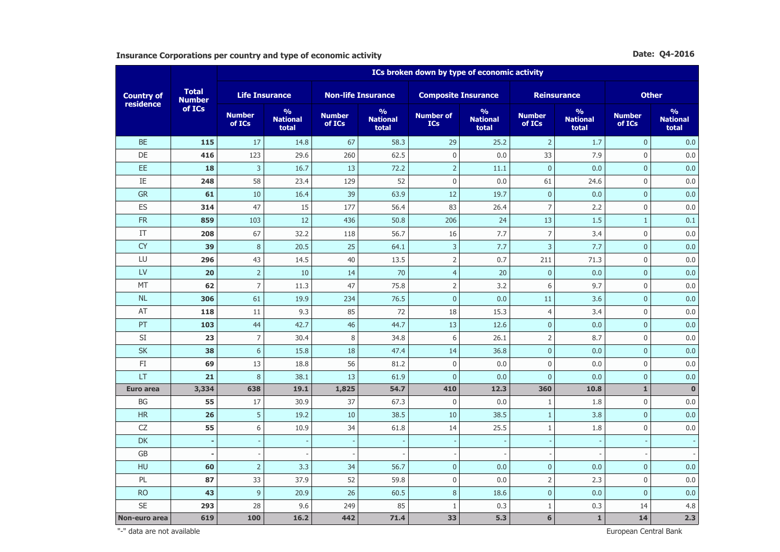**Insurance Corporations per country and type of economic activity Date: Q4-2016 Date: Q4-2016** 

|                                |                               | ICs broken down by type of economic activity |                                           |                           |                                           |                                |                                           |                          |                                           |                         |                                           |  |  |
|--------------------------------|-------------------------------|----------------------------------------------|-------------------------------------------|---------------------------|-------------------------------------------|--------------------------------|-------------------------------------------|--------------------------|-------------------------------------------|-------------------------|-------------------------------------------|--|--|
| <b>Country of</b><br>residence | <b>Total</b><br><b>Number</b> | <b>Life Insurance</b>                        |                                           | <b>Non-life Insurance</b> |                                           | <b>Composite Insurance</b>     |                                           |                          | <b>Reinsurance</b>                        | <b>Other</b>            |                                           |  |  |
|                                | of ICs                        | <b>Number</b><br>of ICs                      | $\frac{9}{6}$<br><b>National</b><br>total | <b>Number</b><br>of ICs   | $\frac{9}{6}$<br><b>National</b><br>total | <b>Number of</b><br><b>ICs</b> | $\frac{9}{6}$<br><b>National</b><br>total | <b>Number</b><br>of ICs  | $\frac{9}{6}$<br><b>National</b><br>total | <b>Number</b><br>of ICs | $\frac{9}{6}$<br><b>National</b><br>total |  |  |
| <b>BE</b>                      | 115                           | 17                                           | 14.8                                      | 67                        | 58.3                                      | 29                             | 25.2                                      | $\overline{2}$           | 1.7                                       | $\overline{0}$          | 0.0                                       |  |  |
| DE                             | 416                           | 123                                          | 29.6                                      | 260                       | 62.5                                      | $\mathsf 0$                    | 0.0                                       | 33                       | 7.9                                       | $\Omega$                | 0.0                                       |  |  |
| EE                             | 18                            | $\overline{3}$                               | 16.7                                      | 13                        | 72.2                                      | $\overline{2}$                 | 11.1                                      | $\overline{0}$           | 0.0                                       | $\overline{0}$          | 0.0                                       |  |  |
| IE                             | 248                           | 58                                           | 23.4                                      | 129                       | 52                                        | $\mathbf 0$                    | 0.0                                       | 61                       | 24.6                                      | $\mathbf 0$             | 0.0                                       |  |  |
| <b>GR</b>                      | 61                            | 10                                           | 16.4                                      | 39                        | 63.9                                      | 12                             | 19.7                                      | $\pmb{0}$                | 0.0                                       | $\overline{0}$          | 0.0                                       |  |  |
| ES                             | 314                           | 47                                           | 15                                        | 177                       | 56.4                                      | 83                             | 26.4                                      | $\overline{7}$           | 2.2                                       | $\mathbf 0$             | 0.0                                       |  |  |
| <b>FR</b>                      | 859                           | 103                                          | 12                                        | 436                       | 50.8                                      | 206                            | 24                                        | 13                       | 1.5                                       | $\mathbf{1}$            | 0.1                                       |  |  |
| IT                             | 208                           | 67                                           | 32.2                                      | 118                       | 56.7                                      | 16                             | 7.7                                       | $\overline{7}$           | 3.4                                       | $\mathbf 0$             | 0.0                                       |  |  |
| <b>CY</b>                      | 39                            | $\,8\,$                                      | 20.5                                      | 25                        | 64.1                                      | $\overline{3}$                 | 7.7                                       | 3                        | 7.7                                       | $\overline{0}$          | 0.0                                       |  |  |
| LU                             | 296                           | 43                                           | 14.5                                      | 40                        | 13.5                                      | $\overline{2}$                 | 0.7                                       | 211                      | 71.3                                      | $\mathbf 0$             | 0.0                                       |  |  |
| LV                             | 20                            | $\overline{2}$                               | $10\,$                                    | 14                        | 70                                        | $\overline{4}$                 | 20                                        | $\pmb{0}$                | 0.0                                       | $\bf 0$                 | 0.0                                       |  |  |
| <b>MT</b>                      | 62                            | $\overline{7}$                               | 11.3                                      | 47                        | 75.8                                      | $\overline{2}$                 | 3.2                                       | 6                        | 9.7                                       | $\mathbf 0$             | 0.0                                       |  |  |
| <b>NL</b>                      | 306                           | 61                                           | 19.9                                      | 234                       | 76.5                                      | $\pmb{0}$                      | 0.0                                       | 11                       | 3.6                                       | $\pmb{0}$               | 0.0                                       |  |  |
| AT                             | 118                           | 11                                           | 9.3                                       | 85                        | 72                                        | 18                             | 15.3                                      | $\overline{4}$           | 3.4                                       | $\mathbf 0$             | 0.0                                       |  |  |
| PT                             | 103                           | 44                                           | 42.7                                      | 46                        | 44.7                                      | 13                             | 12.6                                      | $\overline{0}$           | 0.0                                       | $\mathbf{0}$            | 0.0                                       |  |  |
| SI                             | 23                            | $\overline{7}$                               | 30.4                                      | 8                         | 34.8                                      | 6                              | 26.1                                      | $\overline{2}$           | 8.7                                       | $\mathbf 0$             | 0.0                                       |  |  |
| <b>SK</b>                      | 38                            | 6                                            | 15.8                                      | 18                        | 47.4                                      | 14                             | 36.8                                      | $\overline{0}$           | 0.0                                       | $\overline{0}$          | 0.0                                       |  |  |
| $\mathsf{F}\mathbf{I}$         | 69                            | 13                                           | 18.8                                      | 56                        | 81.2                                      | $\mathsf 0$                    | 0.0                                       | $\boldsymbol{0}$         | 0.0                                       | $\boldsymbol{0}$        | 0.0                                       |  |  |
| LT                             | 21                            | $\,8\,$                                      | 38.1                                      | 13                        | 61.9                                      | $\mathbf{0}$                   | 0.0                                       | $\mathbf{0}$             | 0.0                                       | $\overline{0}$          | 0.0                                       |  |  |
| <b>Euro area</b>               | 3,334                         | 638                                          | 19.1                                      | 1,825                     | 54.7                                      | 410                            | 12.3                                      | 360                      | 10.8                                      | $\mathbf{1}$            | $\mathbf 0$                               |  |  |
| BG                             | 55                            | 17                                           | 30.9                                      | 37                        | 67.3                                      | $\mathsf 0$                    | 0.0                                       | $\mathbf{1}$             | 1.8                                       | $\mathbf 0$             | 0.0                                       |  |  |
| <b>HR</b>                      | 26                            | 5                                            | 19.2                                      | 10                        | 38.5                                      | 10                             | 38.5                                      | $\,1\,$                  | 3.8                                       | $\overline{0}$          | 0.0                                       |  |  |
| CZ                             | 55                            | $6\,$                                        | 10.9                                      | 34                        | 61.8                                      | 14                             | 25.5                                      | $1\,$                    | 1.8                                       | $\mathbf 0$             | 0.0                                       |  |  |
| <b>DK</b>                      | $\sim$                        | $\overline{\phantom{a}}$                     | ÷                                         | $\overline{\phantom{a}}$  |                                           | $\blacksquare$                 |                                           | $\overline{\phantom{a}}$ |                                           |                         |                                           |  |  |
| GB                             | ۰                             |                                              |                                           |                           |                                           |                                |                                           | $\overline{\phantom{a}}$ |                                           |                         |                                           |  |  |
| HU                             | 60                            | $\overline{2}$                               | 3.3                                       | 34                        | 56.7                                      | $\overline{0}$                 | 0.0                                       | $\pmb{0}$                | 0.0                                       | $\overline{0}$          | 0.0                                       |  |  |
| PL                             | 87                            | 33                                           | 37.9                                      | 52                        | 59.8                                      | $\boldsymbol{0}$               | 0.0                                       | $\overline{2}$           | 2.3                                       | 0                       | 0.0                                       |  |  |
| <b>RO</b>                      | 43                            | $\overline{9}$                               | 20.9                                      | 26                        | 60.5                                      | $\,8\,$                        | 18.6                                      | $\overline{0}$           | 0.0                                       | $\mathbf{0}$            | 0.0                                       |  |  |
| <b>SE</b>                      | 293                           | 28                                           | 9.6                                       | 249                       | 85                                        | $\mathbf{1}$                   | 0.3                                       | $1\,$                    | 0.3                                       | 14                      | 4.8                                       |  |  |
| Non-euro area                  | 619                           | 100                                          | 16.2                                      | 442                       | 71.4                                      | 33                             | 5.3                                       | 6                        | $\mathbf 1$                               | 14                      | 2.3                                       |  |  |